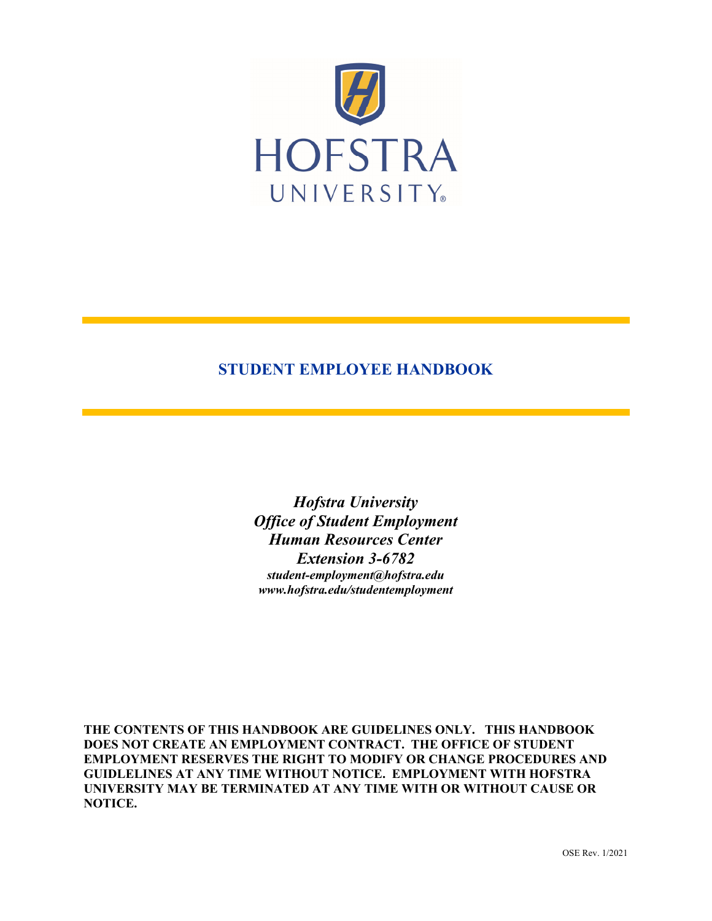

# **STUDENT EMPLOYEE HANDBOOK**

*Hofstra University Office of Student Employment Human Resources Center Extension 3-6782 student-employment@hofstra.edu www.hofstra.edu/studentemployment*

**THE CONTENTS OF THIS HANDBOOK ARE GUIDELINES ONLY. THIS HANDBOOK DOES NOT CREATE AN EMPLOYMENT CONTRACT. THE OFFICE OF STUDENT EMPLOYMENT RESERVES THE RIGHT TO MODIFY OR CHANGE PROCEDURES AND GUIDLELINES AT ANY TIME WITHOUT NOTICE. EMPLOYMENT WITH HOFSTRA UNIVERSITY MAY BE TERMINATED AT ANY TIME WITH OR WITHOUT CAUSE OR NOTICE.**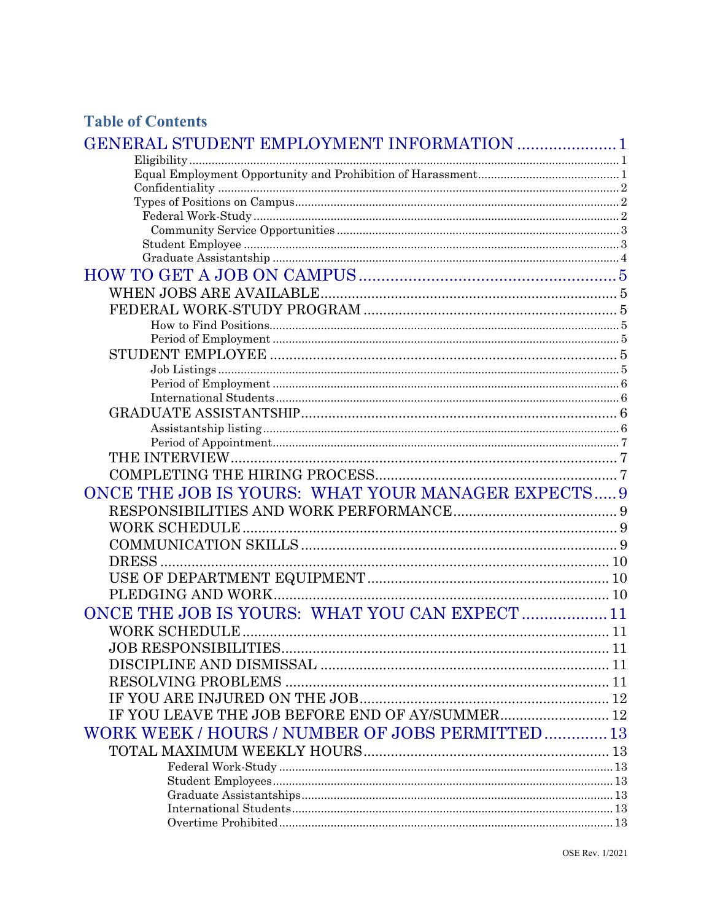# **Table of Contents**

| <b>GENERAL STUDENT EMPLOYMENT INFORMATION  1</b>                                                                                                                                                                                                                                                                                                                                                                                                                     |  |
|----------------------------------------------------------------------------------------------------------------------------------------------------------------------------------------------------------------------------------------------------------------------------------------------------------------------------------------------------------------------------------------------------------------------------------------------------------------------|--|
|                                                                                                                                                                                                                                                                                                                                                                                                                                                                      |  |
|                                                                                                                                                                                                                                                                                                                                                                                                                                                                      |  |
| $\label{def:confl} \text{Confidentiality} \,\, \ldots \,\, \ldots \,\, \ldots \,\, \ldots \,\, \ldots \,\, \ldots \,\, \ldots \,\, \ldots \,\, \ldots \,\, \ldots \,\, \ldots \,\, \ldots \,\, \ldots \,\, \ldots \,\, \ldots \,\, \ldots \,\, \ldots \,\, \ldots \,\, \ldots \,\, \ldots \,\, \ldots \,\, \ldots \,\, \ldots \,\, \ldots \,\, \ldots \,\, \ldots \,\, \ldots \,\, \ldots \,\, \ldots \,\, \ldots \,\, \ldots \,\, \ldots \,\, \ldots \,\, \ldots \$ |  |
|                                                                                                                                                                                                                                                                                                                                                                                                                                                                      |  |
|                                                                                                                                                                                                                                                                                                                                                                                                                                                                      |  |
|                                                                                                                                                                                                                                                                                                                                                                                                                                                                      |  |
|                                                                                                                                                                                                                                                                                                                                                                                                                                                                      |  |
|                                                                                                                                                                                                                                                                                                                                                                                                                                                                      |  |
|                                                                                                                                                                                                                                                                                                                                                                                                                                                                      |  |
|                                                                                                                                                                                                                                                                                                                                                                                                                                                                      |  |
|                                                                                                                                                                                                                                                                                                                                                                                                                                                                      |  |
|                                                                                                                                                                                                                                                                                                                                                                                                                                                                      |  |
|                                                                                                                                                                                                                                                                                                                                                                                                                                                                      |  |
|                                                                                                                                                                                                                                                                                                                                                                                                                                                                      |  |
|                                                                                                                                                                                                                                                                                                                                                                                                                                                                      |  |
|                                                                                                                                                                                                                                                                                                                                                                                                                                                                      |  |
|                                                                                                                                                                                                                                                                                                                                                                                                                                                                      |  |
|                                                                                                                                                                                                                                                                                                                                                                                                                                                                      |  |
|                                                                                                                                                                                                                                                                                                                                                                                                                                                                      |  |
|                                                                                                                                                                                                                                                                                                                                                                                                                                                                      |  |
|                                                                                                                                                                                                                                                                                                                                                                                                                                                                      |  |
|                                                                                                                                                                                                                                                                                                                                                                                                                                                                      |  |
|                                                                                                                                                                                                                                                                                                                                                                                                                                                                      |  |
| ONCE THE JOB IS YOURS: WHAT YOUR MANAGER EXPECTS 9                                                                                                                                                                                                                                                                                                                                                                                                                   |  |
|                                                                                                                                                                                                                                                                                                                                                                                                                                                                      |  |
|                                                                                                                                                                                                                                                                                                                                                                                                                                                                      |  |
|                                                                                                                                                                                                                                                                                                                                                                                                                                                                      |  |
|                                                                                                                                                                                                                                                                                                                                                                                                                                                                      |  |
|                                                                                                                                                                                                                                                                                                                                                                                                                                                                      |  |
|                                                                                                                                                                                                                                                                                                                                                                                                                                                                      |  |
| ONCE THE JOB IS YOURS: WHAT YOU CAN EXPECT 11                                                                                                                                                                                                                                                                                                                                                                                                                        |  |
|                                                                                                                                                                                                                                                                                                                                                                                                                                                                      |  |
|                                                                                                                                                                                                                                                                                                                                                                                                                                                                      |  |
|                                                                                                                                                                                                                                                                                                                                                                                                                                                                      |  |
|                                                                                                                                                                                                                                                                                                                                                                                                                                                                      |  |
|                                                                                                                                                                                                                                                                                                                                                                                                                                                                      |  |
|                                                                                                                                                                                                                                                                                                                                                                                                                                                                      |  |
| IF YOU LEAVE THE JOB BEFORE END OF AY/SUMMER 12                                                                                                                                                                                                                                                                                                                                                                                                                      |  |
| WORK WEEK / HOURS / NUMBER OF JOBS PERMITTED 13                                                                                                                                                                                                                                                                                                                                                                                                                      |  |
|                                                                                                                                                                                                                                                                                                                                                                                                                                                                      |  |
|                                                                                                                                                                                                                                                                                                                                                                                                                                                                      |  |
|                                                                                                                                                                                                                                                                                                                                                                                                                                                                      |  |
|                                                                                                                                                                                                                                                                                                                                                                                                                                                                      |  |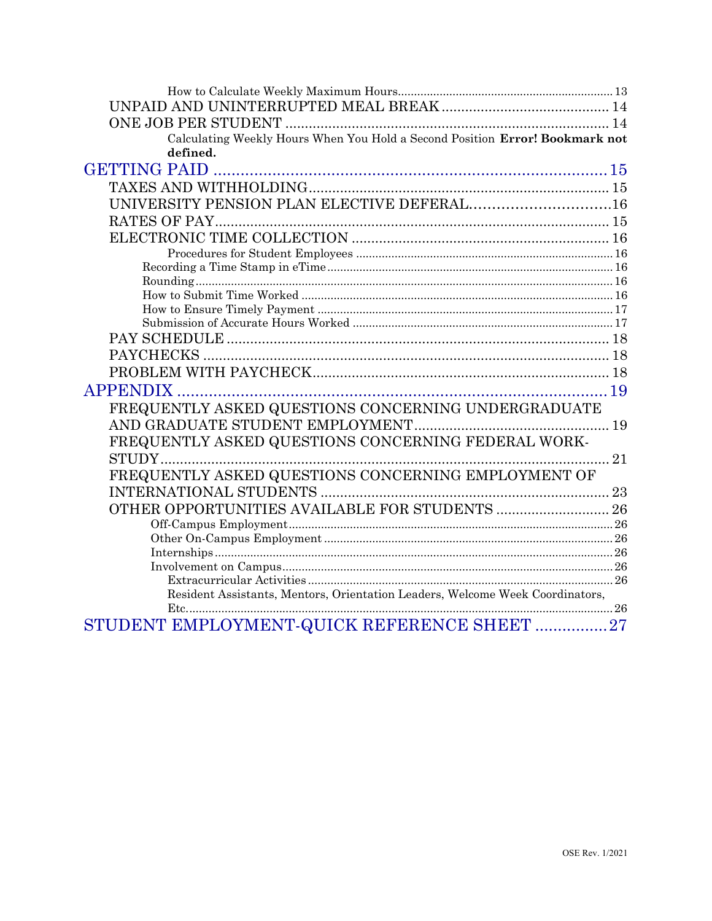| Calculating Weekly Hours When You Hold a Second Position Error! Bookmark not  |    |
|-------------------------------------------------------------------------------|----|
| defined.                                                                      |    |
|                                                                               |    |
|                                                                               |    |
| UNIVERSITY PENSION PLAN ELECTIVE DEFERAL16                                    |    |
|                                                                               |    |
|                                                                               |    |
|                                                                               |    |
|                                                                               |    |
|                                                                               |    |
|                                                                               |    |
|                                                                               |    |
|                                                                               |    |
|                                                                               |    |
|                                                                               |    |
|                                                                               |    |
| <b>APPENDIX</b>                                                               |    |
| FREQUENTLY ASKED QUESTIONS CONCERNING UNDERGRADUATE                           |    |
|                                                                               |    |
| FREQUENTLY ASKED QUESTIONS CONCERNING FEDERAL WORK-                           |    |
| STUDY                                                                         | 21 |
| FREQUENTLY ASKED QUESTIONS CONCERNING EMPLOYMENT OF                           |    |
|                                                                               |    |
|                                                                               |    |
|                                                                               |    |
|                                                                               |    |
|                                                                               |    |
|                                                                               |    |
|                                                                               |    |
| Resident Assistants, Mentors, Orientation Leaders, Welcome Week Coordinators, |    |
|                                                                               |    |
| STUDENT EMPLOYMENT-QUICK REFERENCE SHEET  27                                  |    |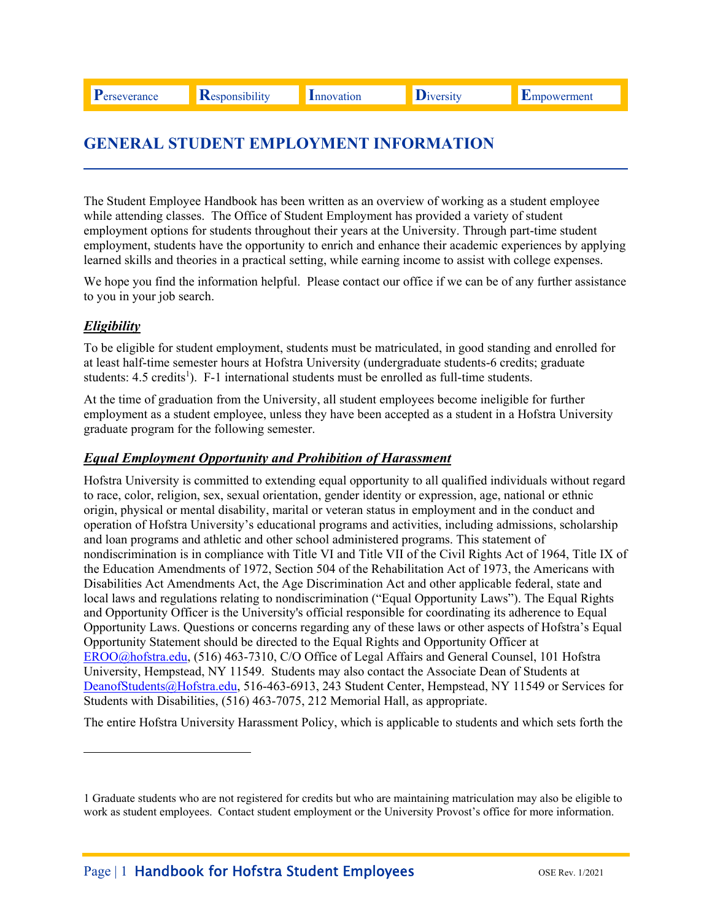# **GENERAL STUDENT EMPLOYMENT INFORMATION**

The Student Employee Handbook has been written as an overview of working as a student employee while attending classes. The Office of Student Employment has provided a variety of student employment options for students throughout their years at the University. Through part-time student employment, students have the opportunity to enrich and enhance their academic experiences by applying learned skills and theories in a practical setting, while earning income to assist with college expenses.

We hope you find the information helpful. Please contact our office if we can be of any further assistance to you in your job search.

# *Eligibility*

i<br>Li

To be eligible for student employment, students must be matriculated, in good standing and enrolled for at least half-time semester hours at Hofstra University (undergraduate students-6 credits; graduate students: 4.5 credits<sup>1</sup>). F-1 international students must be enrolled as full-time students.

At the time of graduation from the University, all student employees become ineligible for further employment as a student employee, unless they have been accepted as a student in a Hofstra University graduate program for the following semester.

#### *Equal Employment Opportunity and Prohibition of Harassment*

Hofstra University is committed to extending equal opportunity to all qualified individuals without regard to race, color, religion, sex, sexual orientation, gender identity or expression, age, national or ethnic origin, physical or mental disability, marital or veteran status in employment and in the conduct and operation of Hofstra University's educational programs and activities, including admissions, scholarship and loan programs and athletic and other school administered programs. This statement of nondiscrimination is in compliance with Title VI and Title VII of the Civil Rights Act of 1964, Title IX of the Education Amendments of 1972, Section 504 of the Rehabilitation Act of 1973, the Americans with Disabilities Act Amendments Act, the Age Discrimination Act and other applicable federal, state and local laws and regulations relating to nondiscrimination ("Equal Opportunity Laws"). The Equal Rights and Opportunity Officer is the University's official responsible for coordinating its adherence to Equal Opportunity Laws. Questions or concerns regarding any of these laws or other aspects of Hofstra's Equal Opportunity Statement should be directed to the Equal Rights and Opportunity Officer at EROO@hofstra.edu, (516) 463-7310, C/O Office of Legal Affairs and General Counsel, 101 Hofstra University, Hempstead, NY 11549. Students may also contact the Associate Dean of Students at DeanofStudents@Hofstra.edu, 516-463-6913, 243 Student Center, Hempstead, NY 11549 or Services for Students with Disabilities, (516) 463-7075, 212 Memorial Hall, as appropriate.

The entire Hofstra University Harassment Policy, which is applicable to students and which sets forth the

 1 Graduate students who are not registered for credits but who are maintaining matriculation may also be eligible to work as student employees. Contact student employment or the University Provost's office for more information.<br>Page | 1 **Handbook for Hofstra Student Employees** OSE Rev. 1/2021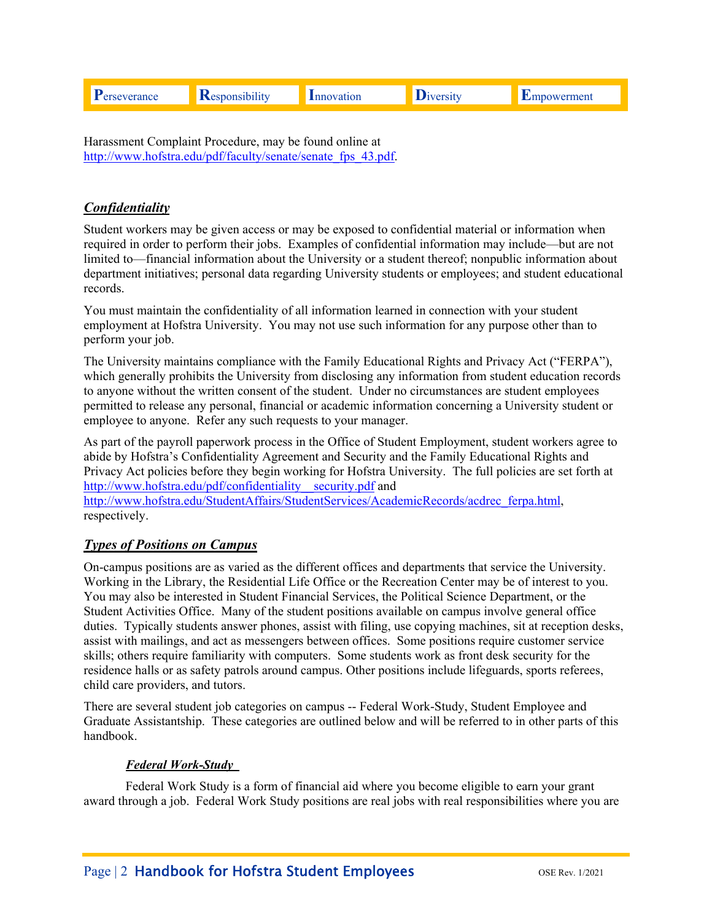Harassment Complaint Procedure, may be found online at http://www.hofstra.edu/pdf/faculty/senate/senate\_fps\_43.pdf.

# *Confidentiality*

Student workers may be given access or may be exposed to confidential material or information when required in order to perform their jobs. Examples of confidential information may include—but are not limited to—financial information about the University or a student thereof; nonpublic information about department initiatives; personal data regarding University students or employees; and student educational records.

You must maintain the confidentiality of all information learned in connection with your student employment at Hofstra University. You may not use such information for any purpose other than to perform your job.

The University maintains compliance with the Family Educational Rights and Privacy Act ("FERPA"), which generally prohibits the University from disclosing any information from student education records to anyone without the written consent of the student. Under no circumstances are student employees permitted to release any personal, financial or academic information concerning a University student or employee to anyone. Refer any such requests to your manager.

As part of the payroll paperwork process in the Office of Student Employment, student workers agree to abide by Hofstra's Confidentiality Agreement and Security and the Family Educational Rights and Privacy Act policies before they begin working for Hofstra University. The full policies are set forth at http://www.hofstra.edu/pdf/confidentiality\_security.pdf and

http://www.hofstra.edu/StudentAffairs/StudentServices/AcademicRecords/acdrec\_ferpa.html, respectively.

# *Types of Positions on Campus*

On-campus positions are as varied as the different offices and departments that service the University. Working in the Library, the Residential Life Office or the Recreation Center may be of interest to you. You may also be interested in Student Financial Services, the Political Science Department, or the Student Activities Office. Many of the student positions available on campus involve general office duties. Typically students answer phones, assist with filing, use copying machines, sit at reception desks, assist with mailings, and act as messengers between offices. Some positions require customer service skills; others require familiarity with computers. Some students work as front desk security for the residence halls or as safety patrols around campus. Other positions include lifeguards, sports referees, child care providers, and tutors.

There are several student job categories on campus -- Federal Work-Study, Student Employee and Graduate Assistantship. These categories are outlined below and will be referred to in other parts of this handbook.

# *Federal Work-Study*

Federal Work Study is a form of financial aid where you become eligible to earn your grant award through a job. Federal Work Study positions are real jobs with real responsibilities where you are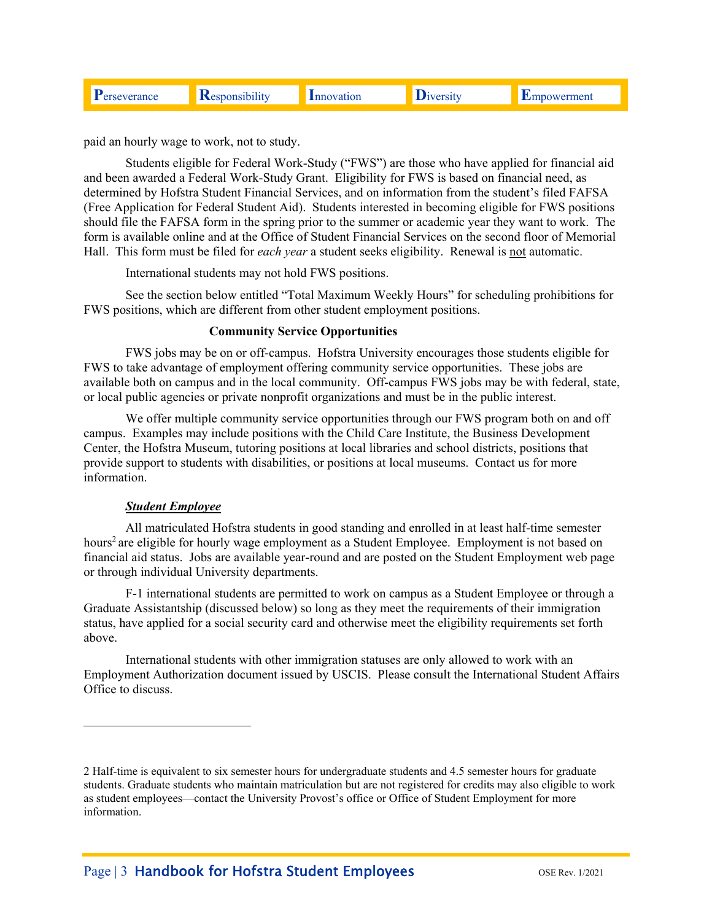| ance | $\cdots$<br>N | 10n | rmeni |
|------|---------------|-----|-------|
|      |               |     |       |

paid an hourly wage to work, not to study.

Students eligible for Federal Work-Study ("FWS") are those who have applied for financial aid and been awarded a Federal Work-Study Grant. Eligibility for FWS is based on financial need, as determined by Hofstra Student Financial Services, and on information from the student's filed FAFSA (Free Application for Federal Student Aid). Students interested in becoming eligible for FWS positions should file the FAFSA form in the spring prior to the summer or academic year they want to work. The form is available online and at the Office of Student Financial Services on the second floor of Memorial Hall. This form must be filed for *each year* a student seeks eligibility. Renewal is not automatic.

International students may not hold FWS positions.

See the section below entitled "Total Maximum Weekly Hours" for scheduling prohibitions for FWS positions, which are different from other student employment positions.

#### **Community Service Opportunities**

FWS jobs may be on or off-campus. Hofstra University encourages those students eligible for FWS to take advantage of employment offering community service opportunities. These jobs are available both on campus and in the local community. Off-campus FWS jobs may be with federal, state, or local public agencies or private nonprofit organizations and must be in the public interest.

We offer multiple community service opportunities through our FWS program both on and off campus. Examples may include positions with the Child Care Institute, the Business Development Center, the Hofstra Museum, tutoring positions at local libraries and school districts, positions that provide support to students with disabilities, or positions at local museums. Contact us for more information.

#### *Student Employee*

i<br>Li

All matriculated Hofstra students in good standing and enrolled in at least half-time semester hours<sup>2</sup> are eligible for hourly wage employment as a Student Employee. Employment is not based on financial aid status. Jobs are available year-round and are posted on the Student Employment web page or through individual University departments.

F-1 international students are permitted to work on campus as a Student Employee or through a Graduate Assistantship (discussed below) so long as they meet the requirements of their immigration status, have applied for a social security card and otherwise meet the eligibility requirements set forth above.

International students with other immigration statuses are only allowed to work with an Employment Authorization document issued by USCIS. Please consult the International Student Affairs Office to discuss.

 2 Half-time is equivalent to six semester hours for undergraduate students and 4.5 semester hours for graduate students. Graduate students who maintain matriculation but are not registered for credits may also eligible to work as student employees—contact the University Provost's office or Office of Student Employment for more information.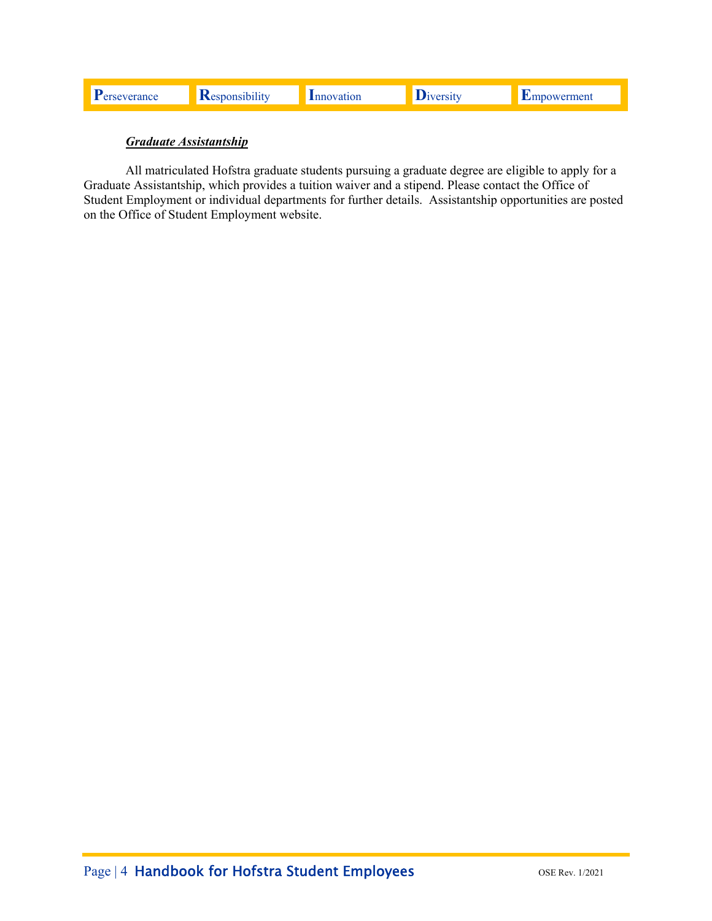# *Graduate Assistantship*

All matriculated Hofstra graduate students pursuing a graduate degree are eligible to apply for a Graduate Assistantship, which provides a tuition waiver and a stipend. Please contact the Office of Student Employment or individual departments for further details. Assistantship opportunities are posted on the Office of Student Employment website.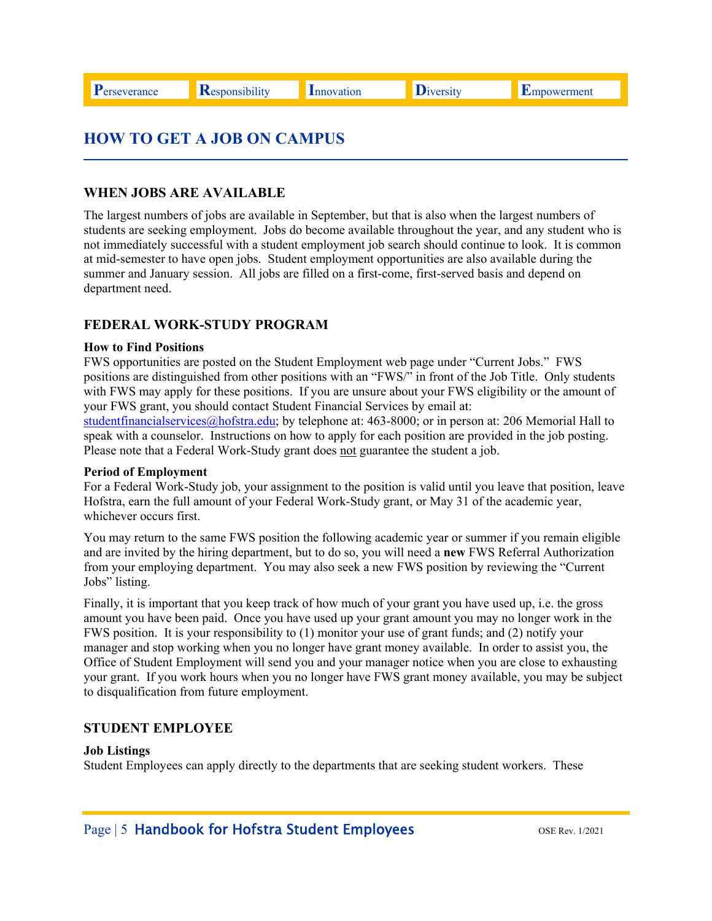# **HOW TO GET A JOB ON CAMPUS**

# **WHEN JOBS ARE AVAILABLE**

The largest numbers of jobs are available in September, but that is also when the largest numbers of students are seeking employment. Jobs do become available throughout the year, and any student who is not immediately successful with a student employment job search should continue to look. It is common at mid-semester to have open jobs. Student employment opportunities are also available during the summer and January session. All jobs are filled on a first-come, first-served basis and depend on department need.

# **FEDERAL WORK-STUDY PROGRAM**

#### **How to Find Positions**

FWS opportunities are posted on the Student Employment web page under "Current Jobs." FWS positions are distinguished from other positions with an "FWS/" in front of the Job Title. Only students with FWS may apply for these positions. If you are unsure about your FWS eligibility or the amount of your FWS grant, you should contact Student Financial Services by email at:

studentfinancialservices@hofstra.edu; by telephone at: 463-8000; or in person at: 206 Memorial Hall to speak with a counselor. Instructions on how to apply for each position are provided in the job posting. Please note that a Federal Work-Study grant does not guarantee the student a job.

#### **Period of Employment**

For a Federal Work-Study job, your assignment to the position is valid until you leave that position, leave Hofstra, earn the full amount of your Federal Work-Study grant, or May 31 of the academic year, whichever occurs first.

You may return to the same FWS position the following academic year or summer if you remain eligible and are invited by the hiring department, but to do so, you will need a **new** FWS Referral Authorization from your employing department. You may also seek a new FWS position by reviewing the "Current Jobs" listing.

Finally, it is important that you keep track of how much of your grant you have used up, i.e. the gross amount you have been paid. Once you have used up your grant amount you may no longer work in the FWS position. It is your responsibility to (1) monitor your use of grant funds; and (2) notify your manager and stop working when you no longer have grant money available. In order to assist you, the Office of Student Employment will send you and your manager notice when you are close to exhausting your grant. If you work hours when you no longer have FWS grant money available, you may be subject to disqualification from future employment.

# **STUDENT EMPLOYEE**

#### **Job Listings**

Student Employees can apply directly to the departments that are seeking student workers. These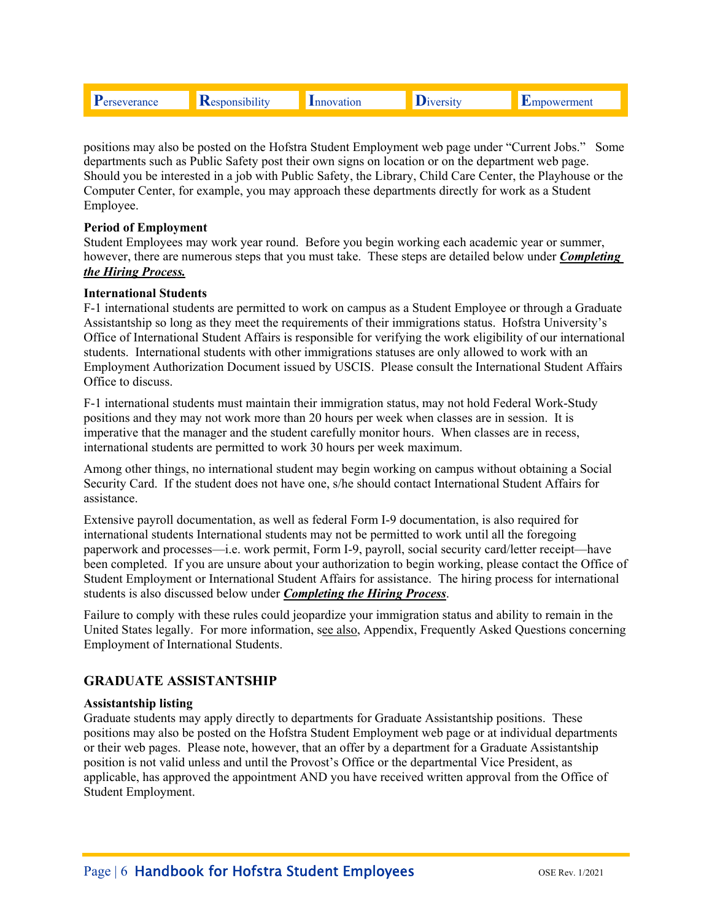|  |  | .<br>ĸ | юн |  | meni |
|--|--|--------|----|--|------|
|--|--|--------|----|--|------|

positions may also be posted on the Hofstra Student Employment web page under "Current Jobs." Some departments such as Public Safety post their own signs on location or on the department web page. Should you be interested in a job with Public Safety, the Library, Child Care Center, the Playhouse or the Computer Center, for example, you may approach these departments directly for work as a Student Employee.

#### **Period of Employment**

 *the Hiring Process.* Student Employees may work year round. Before you begin working each academic year or summer, however, there are numerous steps that you must take. These steps are detailed below under *Completing* 

#### **International Students**

F-1 international students are permitted to work on campus as a Student Employee or through a Graduate Assistantship so long as they meet the requirements of their immigrations status. Hofstra University's Office of International Student Affairs is responsible for verifying the work eligibility of our international students. International students with other immigrations statuses are only allowed to work with an Employment Authorization Document issued by USCIS. Please consult the International Student Affairs Office to discuss.

F-1 international students must maintain their immigration status, may not hold Federal Work-Study positions and they may not work more than 20 hours per week when classes are in session. It is imperative that the manager and the student carefully monitor hours. When classes are in recess, international students are permitted to work 30 hours per week maximum.

Among other things, no international student may begin working on campus without obtaining a Social Security Card. If the student does not have one, s/he should contact International Student Affairs for assistance.

Extensive payroll documentation, as well as federal Form I-9 documentation, is also required for international students International students may not be permitted to work until all the foregoing paperwork and processes—i.e. work permit, Form I-9, payroll, social security card/letter receipt—have been completed. If you are unsure about your authorization to begin working, please contact the Office of Student Employment or International Student Affairs for assistance. The hiring process for international students is also discussed below under *Completing the Hiring Process*.

Failure to comply with these rules could jeopardize your immigration status and ability to remain in the United States legally. For more information, see also, Appendix, Frequently Asked Questions concerning Employment of International Students.

# **GRADUATE ASSISTANTSHIP**

#### **Assistantship listing**

Graduate students may apply directly to departments for Graduate Assistantship positions. These positions may also be posted on the Hofstra Student Employment web page or at individual departments or their web pages. Please note, however, that an offer by a department for a Graduate Assistantship position is not valid unless and until the Provost's Office or the departmental Vice President, as applicable, has approved the appointment AND you have received written approval from the Office of Student Employment.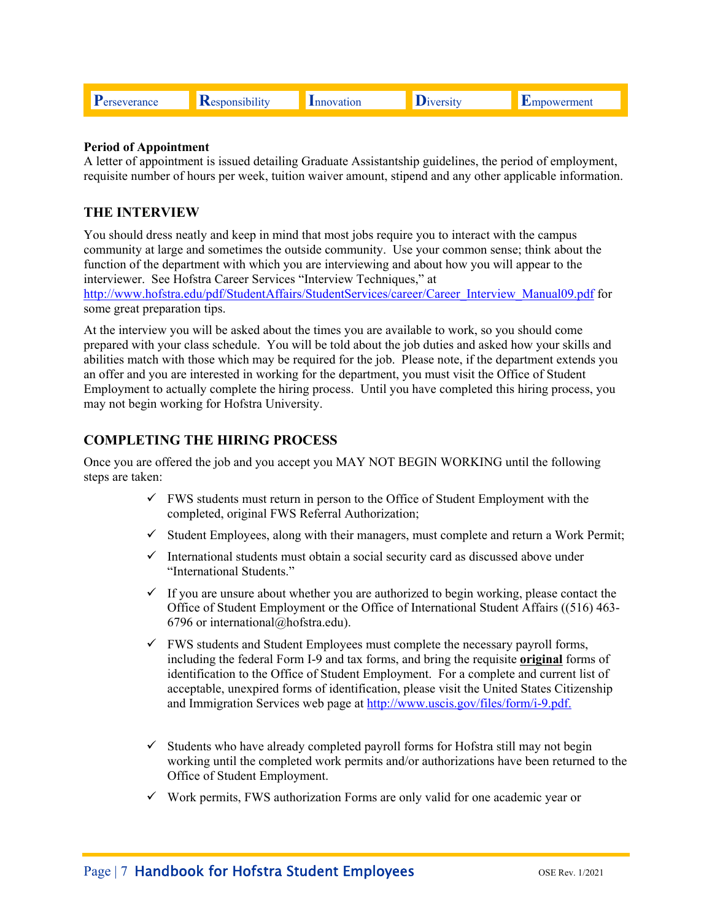|  |  | . . |  |  |  |
|--|--|-----|--|--|--|
|--|--|-----|--|--|--|

#### **Period of Appointment**

A letter of appointment is issued detailing Graduate Assistantship guidelines, the period of employment, requisite number of hours per week, tuition waiver amount, stipend and any other applicable information.

#### **THE INTERVIEW**

You should dress neatly and keep in mind that most jobs require you to interact with the campus community at large and sometimes the outside community. Use your common sense; think about the function of the department with which you are interviewing and about how you will appear to the interviewer. See Hofstra Career Services "Interview Techniques," at

http://www.hofstra.edu/pdf/StudentAffairs/StudentServices/career/Career\_Interview\_Manual09.pdf for some great preparation tips.

At the interview you will be asked about the times you are available to work, so you should come prepared with your class schedule. You will be told about the job duties and asked how your skills and abilities match with those which may be required for the job. Please note, if the department extends you an offer and you are interested in working for the department, you must visit the Office of Student Employment to actually complete the hiring process. Until you have completed this hiring process, you may not begin working for Hofstra University.

### **COMPLETING THE HIRING PROCESS**

Once you are offered the job and you accept you MAY NOT BEGIN WORKING until the following steps are taken:

- $\checkmark$  FWS students must return in person to the Office of Student Employment with the completed, original FWS Referral Authorization;
- $\checkmark$  Student Employees, along with their managers, must complete and return a Work Permit;
- $\checkmark$  International students must obtain a social security card as discussed above under "International Students."
- $\checkmark$  If you are unsure about whether you are authorized to begin working, please contact the Office of Student Employment or the Office of International Student Affairs ((516) 463- 6796 or international@hofstra.edu).
- $\checkmark$  FWS students and Student Employees must complete the necessary payroll forms, including the federal Form I-9 and tax forms, and bring the requisite **original** forms of identification to the Office of Student Employment. For a complete and current list of acceptable, unexpired forms of identification, please visit the United States Citizenship and Immigration Services web page at http://www.uscis.gov/files/form/i-9.pdf.
- $\checkmark$  Students who have already completed payroll forms for Hofstra still may not begin working until the completed work permits and/or authorizations have been returned to the Office of Student Employment.
- $\checkmark$  Work permits, FWS authorization Forms are only valid for one academic year or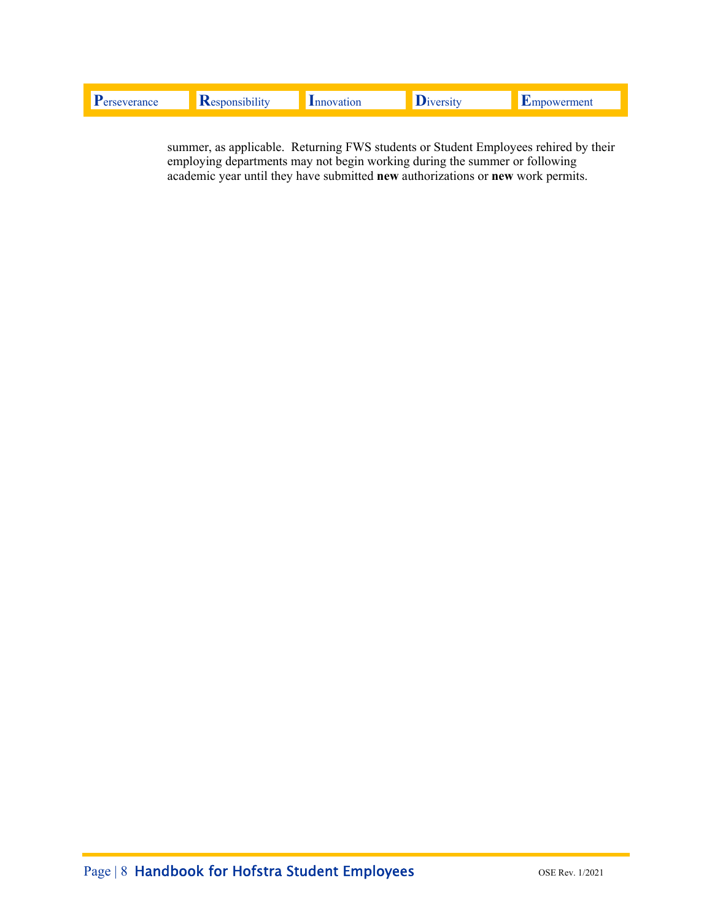summer, as applicable. Returning FWS students or Student Employees rehired by their employing departments may not begin working during the summer or following academic year until they have submitted new authorizations or new work permits.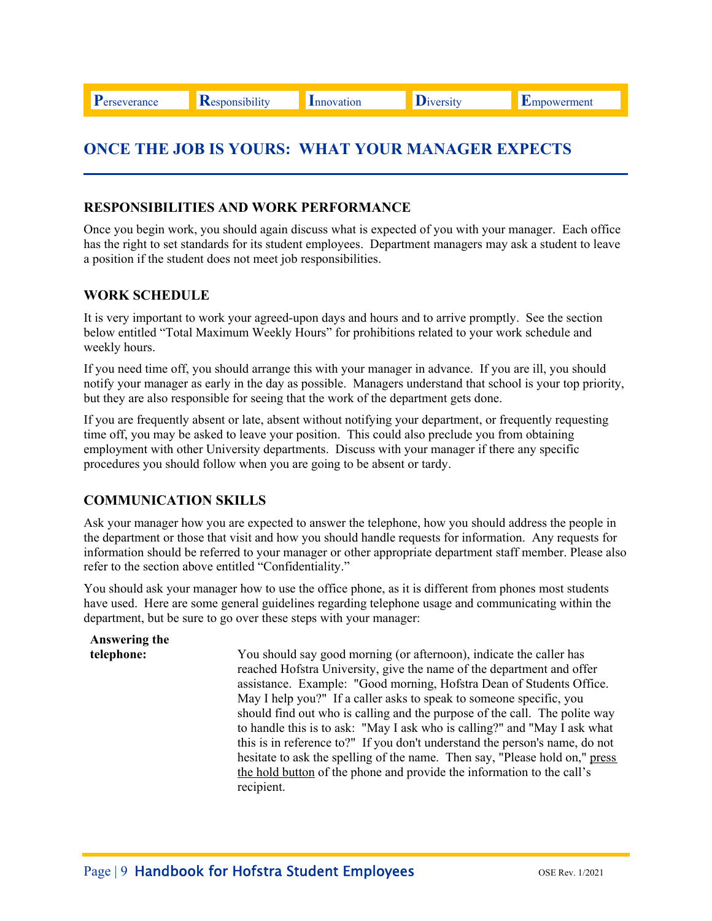**P**erseverance **R**esponsibility Innovation Diversity Empowerment

# **ONCE THE JOB IS YOURS: WHAT YOUR MANAGER EXPECTS**

### **RESPONSIBILITIES AND WORK PERFORMANCE**

Once you begin work, you should again discuss what is expected of you with your manager. Each office has the right to set standards for its student employees. Department managers may ask a student to leave a position if the student does not meet job responsibilities.

# **WORK SCHEDULE**

It is very important to work your agreed-upon days and hours and to arrive promptly. See the section below entitled "Total Maximum Weekly Hours" for prohibitions related to your work schedule and weekly hours.

If you need time off, you should arrange this with your manager in advance. If you are ill, you should notify your manager as early in the day as possible. Managers understand that school is your top priority, but they are also responsible for seeing that the work of the department gets done.

If you are frequently absent or late, absent without notifying your department, or frequently requesting time off, you may be asked to leave your position. This could also preclude you from obtaining employment with other University departments. Discuss with your manager if there any specific procedures you should follow when you are going to be absent or tardy.

# **COMMUNICATION SKILLS**

Ask your manager how you are expected to answer the telephone, how you should address the people in the department or those that visit and how you should handle requests for information. Any requests for information should be referred to your manager or other appropriate department staff member. Please also refer to the section above entitled "Confidentiality."

You should ask your manager how to use the office phone, as it is different from phones most students have used. Here are some general guidelines regarding telephone usage and communicating within the department, but be sure to go over these steps with your manager:

| Answering the |                                                                                                                                                                                                                                                                                                                                                                                                                                                                                                                                                                                                                                                                                                              |
|---------------|--------------------------------------------------------------------------------------------------------------------------------------------------------------------------------------------------------------------------------------------------------------------------------------------------------------------------------------------------------------------------------------------------------------------------------------------------------------------------------------------------------------------------------------------------------------------------------------------------------------------------------------------------------------------------------------------------------------|
| telephone:    | You should say good morning (or afternoon), indicate the caller has<br>reached Hofstra University, give the name of the department and offer<br>assistance. Example: "Good morning, Hofstra Dean of Students Office.<br>May I help you?" If a caller asks to speak to someone specific, you<br>should find out who is calling and the purpose of the call. The polite way<br>to handle this is to ask: "May I ask who is calling?" and "May I ask what<br>this is in reference to?" If you don't understand the person's name, do not<br>hesitate to ask the spelling of the name. Then say, "Please hold on," press<br>the hold button of the phone and provide the information to the call's<br>recipient. |
|               |                                                                                                                                                                                                                                                                                                                                                                                                                                                                                                                                                                                                                                                                                                              |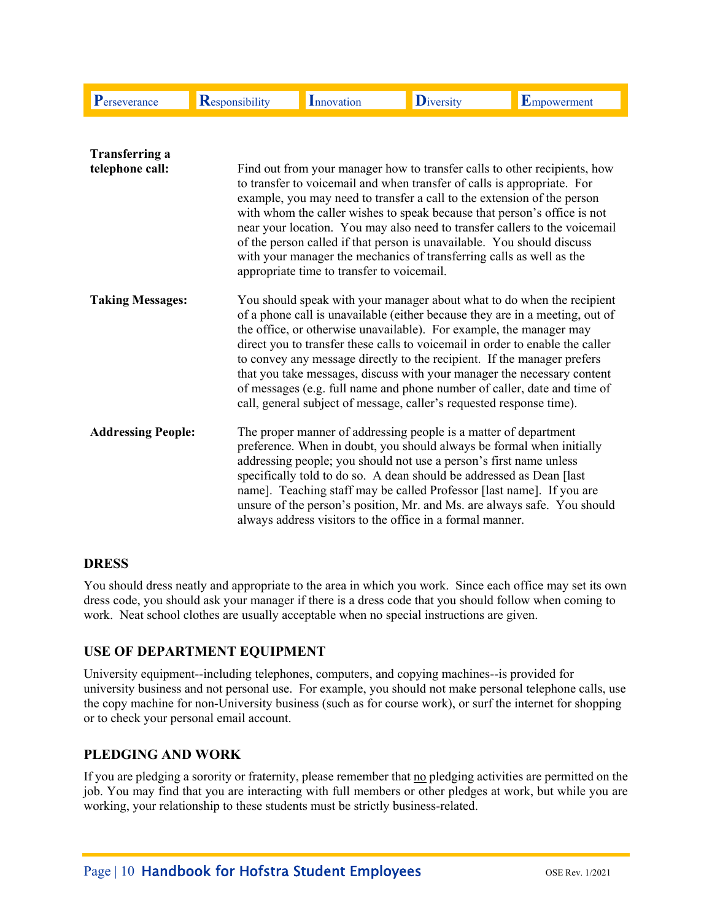| Perseverance                             | <b>Responsibility</b> | Innovation                                                                                                                                                                                                                                                                                                                                                                                                                                                                                                | <b>D</b> iversity                                                                                                                                                                                                                                                                                                                                                                                                                                                                                                                                                                                                        | Empowerment |  |  |
|------------------------------------------|-----------------------|-----------------------------------------------------------------------------------------------------------------------------------------------------------------------------------------------------------------------------------------------------------------------------------------------------------------------------------------------------------------------------------------------------------------------------------------------------------------------------------------------------------|--------------------------------------------------------------------------------------------------------------------------------------------------------------------------------------------------------------------------------------------------------------------------------------------------------------------------------------------------------------------------------------------------------------------------------------------------------------------------------------------------------------------------------------------------------------------------------------------------------------------------|-------------|--|--|
| <b>Transferring a</b><br>telephone call: |                       | appropriate time to transfer to voicemail.                                                                                                                                                                                                                                                                                                                                                                                                                                                                | Find out from your manager how to transfer calls to other recipients, how<br>to transfer to voicemail and when transfer of calls is appropriate. For<br>example, you may need to transfer a call to the extension of the person<br>with whom the caller wishes to speak because that person's office is not<br>near your location. You may also need to transfer callers to the voicemail<br>of the person called if that person is unavailable. You should discuss<br>with your manager the mechanics of transferring calls as well as the                                                                              |             |  |  |
| <b>Taking Messages:</b>                  |                       |                                                                                                                                                                                                                                                                                                                                                                                                                                                                                                           | You should speak with your manager about what to do when the recipient<br>of a phone call is unavailable (either because they are in a meeting, out of<br>the office, or otherwise unavailable). For example, the manager may<br>direct you to transfer these calls to voicemail in order to enable the caller<br>to convey any message directly to the recipient. If the manager prefers<br>that you take messages, discuss with your manager the necessary content<br>of messages (e.g. full name and phone number of caller, date and time of<br>call, general subject of message, caller's requested response time). |             |  |  |
| <b>Addressing People:</b>                |                       | The proper manner of addressing people is a matter of department<br>preference. When in doubt, you should always be formal when initially<br>addressing people; you should not use a person's first name unless<br>specifically told to do so. A dean should be addressed as Dean [last<br>name]. Teaching staff may be called Professor [last name]. If you are<br>unsure of the person's position, Mr. and Ms. are always safe. You should<br>always address visitors to the office in a formal manner. |                                                                                                                                                                                                                                                                                                                                                                                                                                                                                                                                                                                                                          |             |  |  |

# **DRESS**

You should dress neatly and appropriate to the area in which you work. Since each office may set its own dress code, you should ask your manager if there is a dress code that you should follow when coming to work. Neat school clothes are usually acceptable when no special instructions are given.

# **USE OF DEPARTMENT EQUIPMENT**

University equipment--including telephones, computers, and copying machines--is provided for university business and not personal use. For example, you should not make personal telephone calls, use the copy machine for non-University business (such as for course work), or surf the internet for shopping or to check your personal email account.

# **PLEDGING AND WORK**

If you are pledging a sorority or fraternity, please remember that no pledging activities are permitted on the job. You may find that you are interacting with full members or other pledges at work, but while you are working, your relationship to these students must be strictly business-related.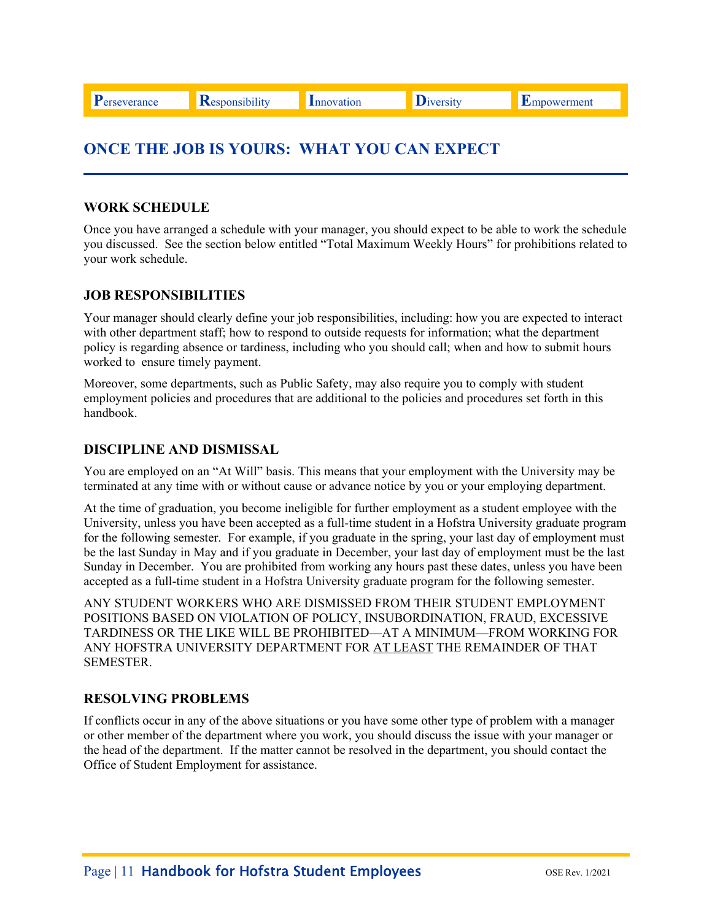# **ONCE THE JOB IS YOURS: WHAT YOU CAN EXPECT**

# **WORK SCHEDULE**

Once you have arranged a schedule with your manager, you should expect to be able to work the schedule you discussed. See the section below entitled "Total Maximum Weekly Hours" for prohibitions related to your work schedule.

### **JOB RESPONSIBILITIES**

Your manager should clearly define your job responsibilities, including: how you are expected to interact with other department staff; how to respond to outside requests for information; what the department policy is regarding absence or tardiness, including who you should call; when and how to submit hours worked to ensure timely payment.

Moreover, some departments, such as Public Safety, may also require you to comply with student employment policies and procedures that are additional to the policies and procedures set forth in this handbook.

### **DISCIPLINE AND DISMISSAL**

You are employed on an "At Will" basis. This means that your employment with the University may be terminated at any time with or without cause or advance notice by you or your employing department.

At the time of graduation, you become ineligible for further employment as a student employee with the University, unless you have been accepted as a full-time student in a Hofstra University graduate program for the following semester. For example, if you graduate in the spring, your last day of employment must be the last Sunday in May and if you graduate in December, your last day of employment must be the last Sunday in December. You are prohibited from working any hours past these dates, unless you have been accepted as a full-time student in a Hofstra University graduate program for the following semester.

ANY STUDENT WORKERS WHO ARE DISMISSED FROM THEIR STUDENT EMPLOYMENT POSITIONS BASED ON VIOLATION OF POLICY, INSUBORDINATION, FRAUD, EXCESSIVE TARDINESS OR THE LIKE WILL BE PROHIBITED—AT A MINIMUM—FROM WORKING FOR ANY HOFSTRA UNIVERSITY DEPARTMENT FOR AT LEAST THE REMAINDER OF THAT SEMESTER.

#### **RESOLVING PROBLEMS**

If conflicts occur in any of the above situations or you have some other type of problem with a manager or other member of the department where you work, you should discuss the issue with your manager or the head of the department. If the matter cannot be resolved in the department, you should contact the Office of Student Employment for assistance.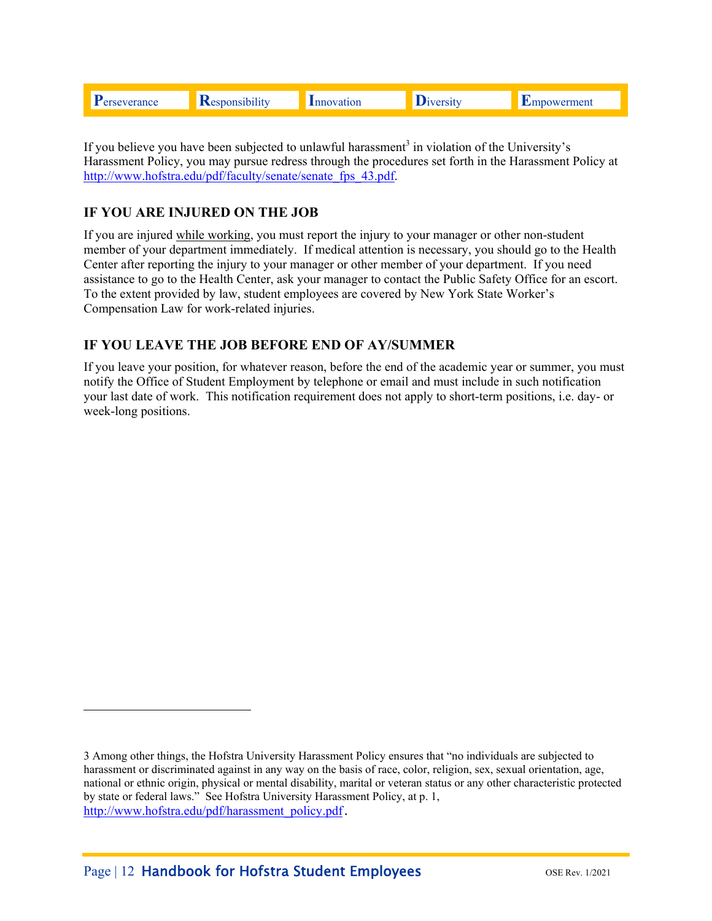|  |  |  | m | ---- | nen |
|--|--|--|---|------|-----|
|--|--|--|---|------|-----|

If you believe you have been subjected to unlawful harassment<sup>3</sup> in violation of the University's Harassment Policy, you may pursue redress through the procedures set forth in the Harassment Policy at http://www.hofstra.edu/pdf/faculty/senate/senate\_fps\_43.pdf.

# **IF YOU ARE INJURED ON THE JOB**

If you are injured while working, you must report the injury to your manager or other non-student member of your department immediately. If medical attention is necessary, you should go to the Health Center after reporting the injury to your manager or other member of your department. If you need assistance to go to the Health Center, ask your manager to contact the Public Safety Office for an escort. To the extent provided by law, student employees are covered by New York State Worker's Compensation Law for work-related injuries.

# **IF YOU LEAVE THE JOB BEFORE END OF AY/SUMMER**

If you leave your position, for whatever reason, before the end of the academic year or summer, you must notify the Office of Student Employment by telephone or email and must include in such notification your last date of work. This notification requirement does not apply to short-term positions, i.e. day- or week-long positions.

i<br>Li

<sup>3</sup> Among other things, the Hofstra University Harassment Policy ensures that "no individuals are subjected to harassment or discriminated against in any way on the basis of race, color, religion, sex, sexual orientation, age, national or ethnic origin, physical or mental disability, marital or veteran status or any other characteristic protected by state or federal laws." See Hofstra University Harassment Policy, at p. 1, http://www.hofstra.edu/pdf/harassment\_policy.pdf.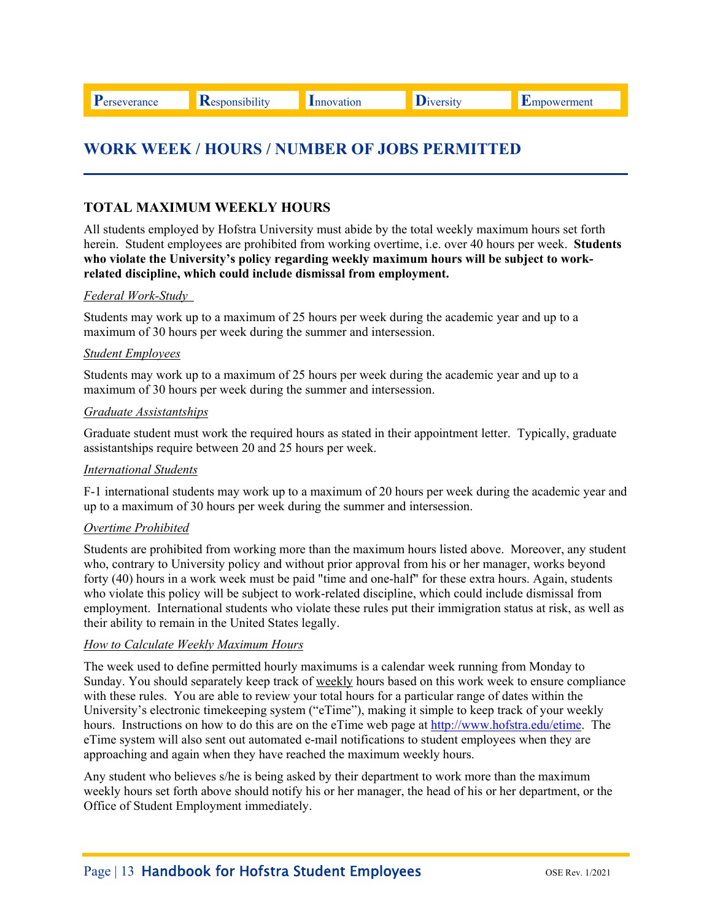**P**erseverance **R**esponsibility Innovation Diversity Empowerment

# **WORK WEEK / HOURS / NUMBER OF JOBS PERMITTED**

# **TOTAL MAXIMUM WEEKLY HOURS**

All students employed by Hofstra University must abide by the total weekly maximum hours set forth herein. Student employees are prohibited from working overtime, i.e. over 40 hours per week. **Students who violate the University's policy regarding weekly maximum hours will be subject to workrelated discipline, which could include dismissal from employment.** 

#### *Federal Work-Study*

Students may work up to a maximum of 25 hours per week during the academic year and up to a maximum of 30 hours per week during the summer and intersession.

#### *Student Employees*

Students may work up to a maximum of 25 hours per week during the academic year and up to a maximum of 30 hours per week during the summer and intersession.

#### *Graduate Assistantships*

Graduate student must work the required hours as stated in their appointment letter. Typically, graduate assistantships require between 20 and 25 hours per week.

#### *International Students*

F-1 international students may work up to a maximum of 20 hours per week during the academic year and up to a maximum of 30 hours per week during the summer and intersession.

#### *Overtime Prohibited*

Students are prohibited from working more than the maximum hours listed above. Moreover, any student who, contrary to University policy and without prior approval from his or her manager, works beyond forty (40) hours in a work week must be paid "time and one-half" for these extra hours. Again, students who violate this policy will be subject to work-related discipline, which could include dismissal from employment. International students who violate these rules put their immigration status at risk, as well as their ability to remain in the United States legally.

#### *How to Calculate Weekly Maximum Hours*

The week used to define permitted hourly maximums is a calendar week running from Monday to Sunday. You should separately keep track of weekly hours based on this work week to ensure compliance with these rules. You are able to review your total hours for a particular range of dates within the University's electronic timekeeping system ("eTime"), making it simple to keep track of your weekly hours. Instructions on how to do this are on the eTime web page at http://www.hofstra.edu/etime. The eTime system will also sent out automated e-mail notifications to student employees when they are approaching and again when they have reached the maximum weekly hours.

Any student who believes s/he is being asked by their department to work more than the maximum weekly hours set forth above should notify his or her manager, the head of his or her department, or the Office of Student Employment immediately.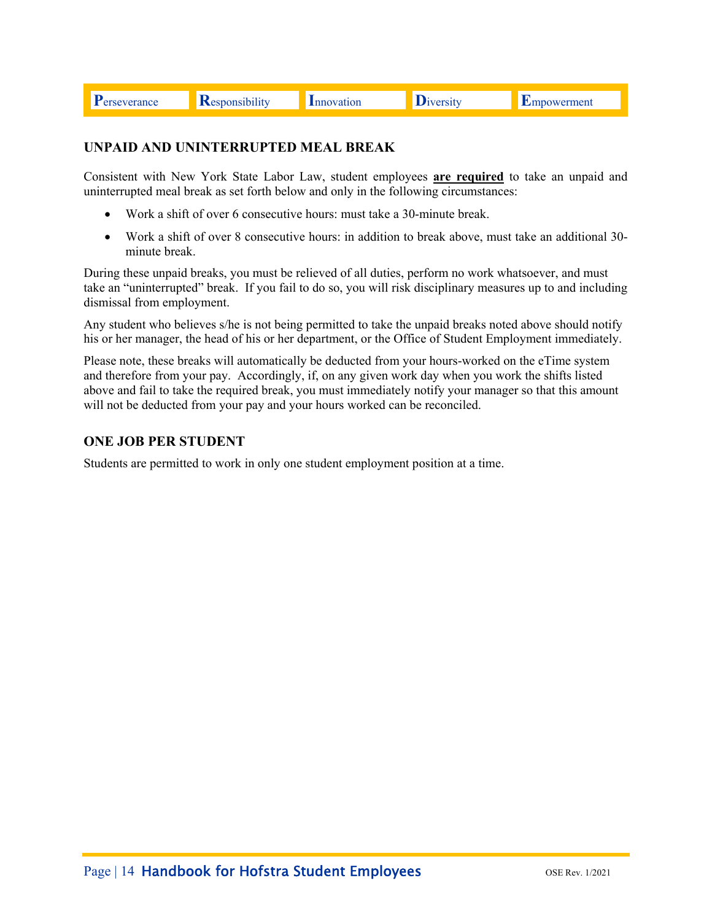| <b>F</b> erseverance |
|----------------------|
|----------------------|

**Responsibility** Innovation **D**iversity Empowerment

# **UNPAID AND UNINTERRUPTED MEAL BREAK**

Consistent with New York State Labor Law, student employees **are required** to take an unpaid and uninterrupted meal break as set forth below and only in the following circumstances:

- Work a shift of over 6 consecutive hours: must take a 30-minute break.
- Work a shift of over 8 consecutive hours: in addition to break above, must take an additional 30 minute break.

During these unpaid breaks, you must be relieved of all duties, perform no work whatsoever, and must take an "uninterrupted" break. If you fail to do so, you will risk disciplinary measures up to and including dismissal from employment.

Any student who believes s/he is not being permitted to take the unpaid breaks noted above should notify his or her manager, the head of his or her department, or the Office of Student Employment immediately.

 and therefore from your pay. Accordingly, if, on any given work day when you work the shifts listed Please note, these breaks will automatically be deducted from your hours-worked on the eTime system above and fail to take the required break, you must immediately notify your manager so that this amount will not be deducted from your pay and your hours worked can be reconciled.

# **ONE JOB PER STUDENT**

Students are permitted to work in only one student employment position at a time.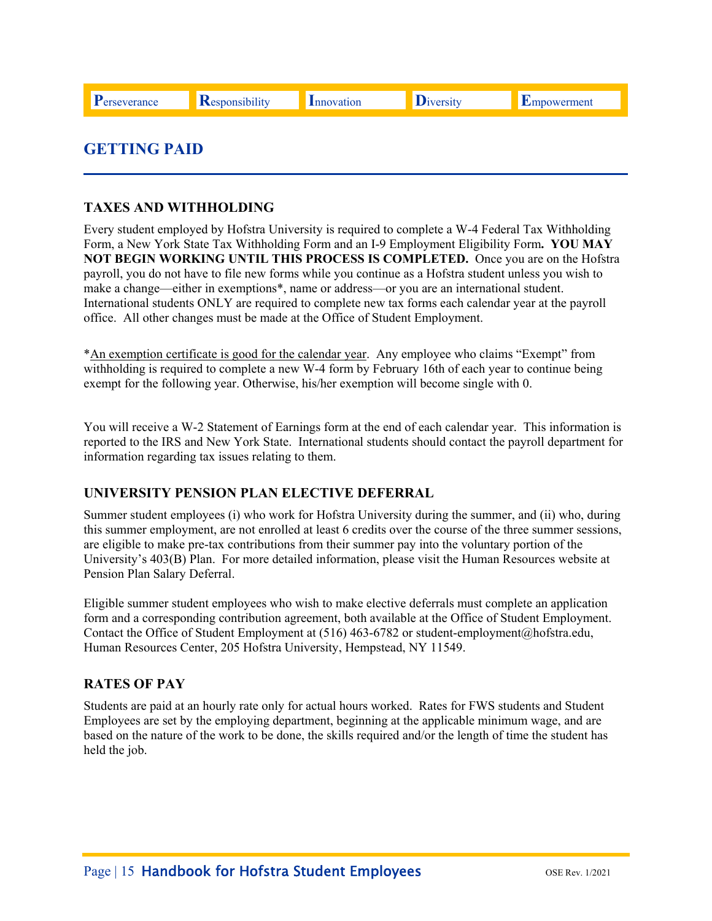# **GETTING PAID**

# **TAXES AND WITHHOLDING**

Every student employed by Hofstra University is required to complete a W-4 Federal Tax Withholding Form, a New York State Tax Withholding Form and an I-9 Employment Eligibility Form**. YOU MAY NOT BEGIN WORKING UNTIL THIS PROCESS IS COMPLETED.** Once you are on the Hofstra payroll, you do not have to file new forms while you continue as a Hofstra student unless you wish to make a change—either in exemptions\*, name or address—or you are an international student. International students ONLY are required to complete new tax forms each calendar year at the payroll office. All other changes must be made at the Office of Student Employment.

\*An exemption certificate is good for the calendar year. Any employee who claims "Exempt" from withholding is required to complete a new W-4 form by February 16th of each year to continue being exempt for the following year. Otherwise, his/her exemption will become single with 0.

You will receive a W-2 Statement of Earnings form at the end of each calendar year. This information is reported to the IRS and New York State. International students should contact the payroll department for information regarding tax issues relating to them.

# **UNIVERSITY PENSION PLAN ELECTIVE DEFERRAL**

Summer student employees (i) who work for Hofstra University during the summer, and (ii) who, during this summer employment, are not enrolled at least 6 credits over the course of the three summer sessions, are eligible to make pre-tax contributions from their summer pay into the voluntary portion of the University's 403(B) Plan. For more detailed information, please visit the Human Resources website at Pension Plan Salary Deferral.

Eligible summer student employees who wish to make elective deferrals must complete an application form and a corresponding contribution agreement, both available at the Office of Student Employment. Contact the Office of Student Employment at (516) 463-6782 or student-employment@hofstra.edu, Human Resources Center, 205 Hofstra University, Hempstead, NY 11549.

# **RATES OF PAY**

Students are paid at an hourly rate only for actual hours worked. Rates for FWS students and Student Employees are set by the employing department, beginning at the applicable minimum wage, and are based on the nature of the work to be done, the skills required and/or the length of time the student has held the job.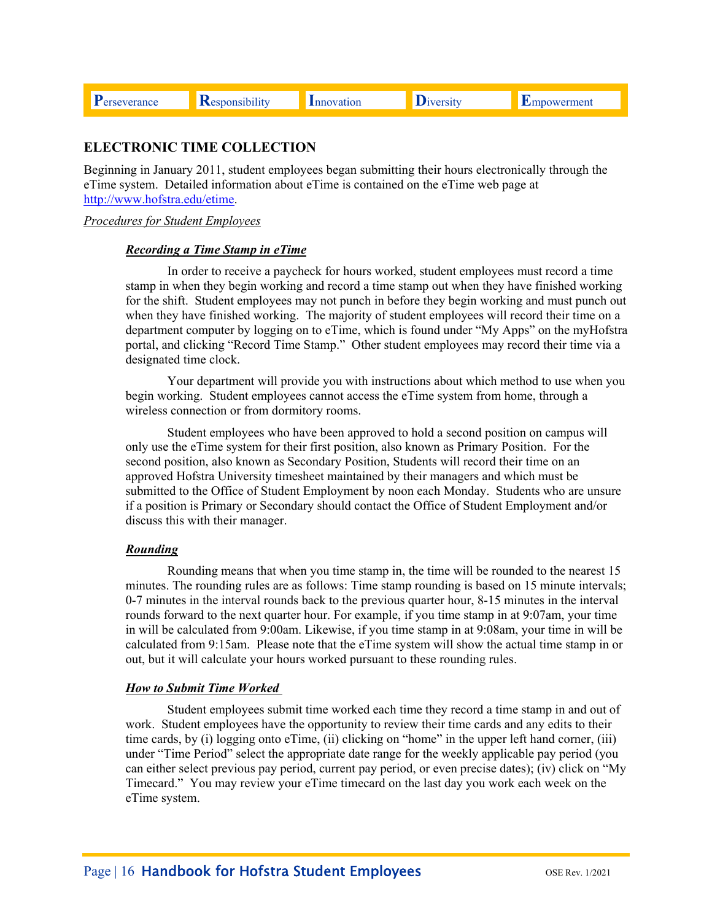# **ELECTRONIC TIME COLLECTION**

Beginning in January 2011, student employees began submitting their hours electronically through the eTime system. Detailed information about eTime is contained on the eTime web page at http://www.hofstra.edu/etime.

#### *Procedures for Student Employees*

#### *Recording a Time Stamp in eTime*

In order to receive a paycheck for hours worked, student employees must record a time stamp in when they begin working and record a time stamp out when they have finished working for the shift. Student employees may not punch in before they begin working and must punch out when they have finished working. The majority of student employees will record their time on a department computer by logging on to eTime, which is found under "My Apps" on the myHofstra portal, and clicking "Record Time Stamp." Other student employees may record their time via a designated time clock.

Your department will provide you with instructions about which method to use when you begin working. Student employees cannot access the eTime system from home, through a wireless connection or from dormitory rooms.

Student employees who have been approved to hold a second position on campus will only use the eTime system for their first position, also known as Primary Position. For the second position, also known as Secondary Position, Students will record their time on an approved Hofstra University timesheet maintained by their managers and which must be submitted to the Office of Student Employment by noon each Monday. Students who are unsure if a position is Primary or Secondary should contact the Office of Student Employment and/or discuss this with their manager.

#### *Rounding*

Rounding means that when you time stamp in, the time will be rounded to the nearest 15 minutes. The rounding rules are as follows: Time stamp rounding is based on 15 minute intervals; 0-7 minutes in the interval rounds back to the previous quarter hour, 8-15 minutes in the interval rounds forward to the next quarter hour. For example, if you time stamp in at 9:07am, your time in will be calculated from 9:00am. Likewise, if you time stamp in at 9:08am, your time in will be calculated from 9:15am. Please note that the eTime system will show the actual time stamp in or out, but it will calculate your hours worked pursuant to these rounding rules.

#### *How to Submit Time Worked*

Student employees submit time worked each time they record a time stamp in and out of work. Student employees have the opportunity to review their time cards and any edits to their time cards, by (i) logging onto eTime, (ii) clicking on "home" in the upper left hand corner, (iii) under "Time Period" select the appropriate date range for the weekly applicable pay period (you can either select previous pay period, current pay period, or even precise dates); (iv) click on "My Timecard." You may review your eTime timecard on the last day you work each week on the eTime system.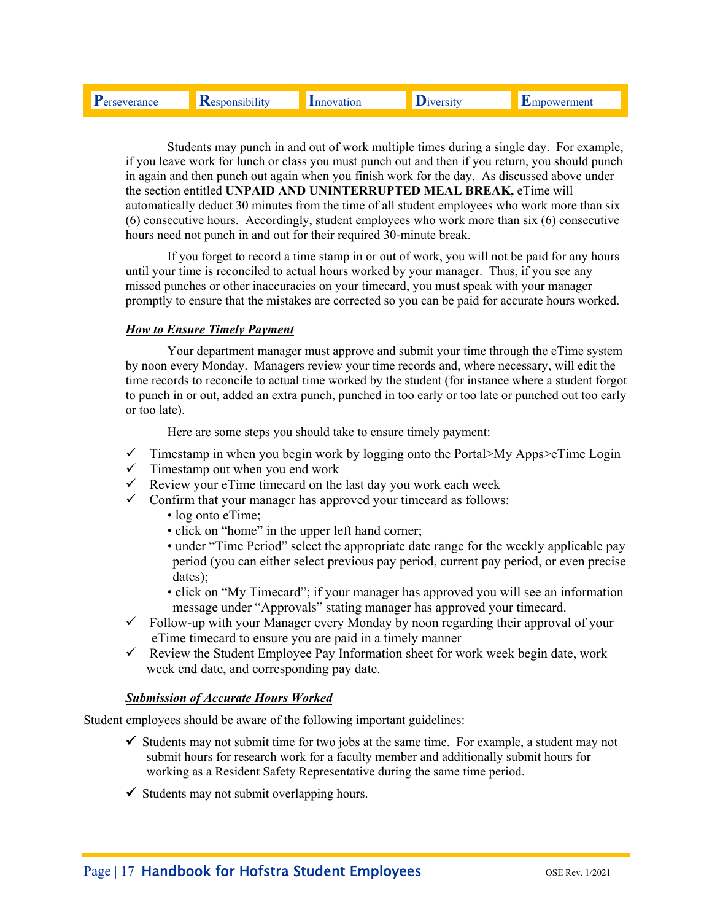| $\mathbf{D}$ | $\cdots$ |     |     |
|--------------|----------|-----|-----|
|              |          | 'on | men |
|              |          |     |     |

Students may punch in and out of work multiple times during a single day. For example, if you leave work for lunch or class you must punch out and then if you return, you should punch in again and then punch out again when you finish work for the day. As discussed above under the section entitled **UNPAID AND UNINTERRUPTED MEAL BREAK,** eTime will automatically deduct 30 minutes from the time of all student employees who work more than six (6) consecutive hours. Accordingly, student employees who work more than six (6) consecutive hours need not punch in and out for their required 30-minute break.

If you forget to record a time stamp in or out of work, you will not be paid for any hours until your time is reconciled to actual hours worked by your manager. Thus, if you see any missed punches or other inaccuracies on your timecard, you must speak with your manager promptly to ensure that the mistakes are corrected so you can be paid for accurate hours worked.

### *How to Ensure Timely Payment*

Your department manager must approve and submit your time through the eTime system by noon every Monday. Managers review your time records and, where necessary, will edit the time records to reconcile to actual time worked by the student (for instance where a student forgot to punch in or out, added an extra punch, punched in too early or too late or punched out too early or too late).

Here are some steps you should take to ensure timely payment:

- $\checkmark$  Timestamp in when you begin work by logging onto the Portal>My Apps>eTime Login
- $\checkmark$  Timestamp out when you end work
- $\checkmark$  Review your eTime timecard on the last day you work each week
- $\checkmark$  Confirm that your manager has approved your timecard as follows:
	- log onto eTime;
	- click on "home" in the upper left hand corner;
	- under "Time Period" select the appropriate date range for the weekly applicable pay period (you can either select previous pay period, current pay period, or even precise dates);
	- click on "My Timecard"; if your manager has approved you will see an information message under "Approvals" stating manager has approved your timecard.
- $\checkmark$  Follow-up with your Manager every Monday by noon regarding their approval of your eTime timecard to ensure you are paid in a timely manner
- $\checkmark$  Review the Student Employee Pay Information sheet for work week begin date, work week end date, and corresponding pay date.

#### *Submission of Accurate Hours Worked*

Student employees should be aware of the following important guidelines:

- $\checkmark$  Students may not submit time for two jobs at the same time. For example, a student may not submit hours for research work for a faculty member and additionally submit hours for working as a Resident Safety Representative during the same time period.
- $\checkmark$  Students may not submit overlapping hours.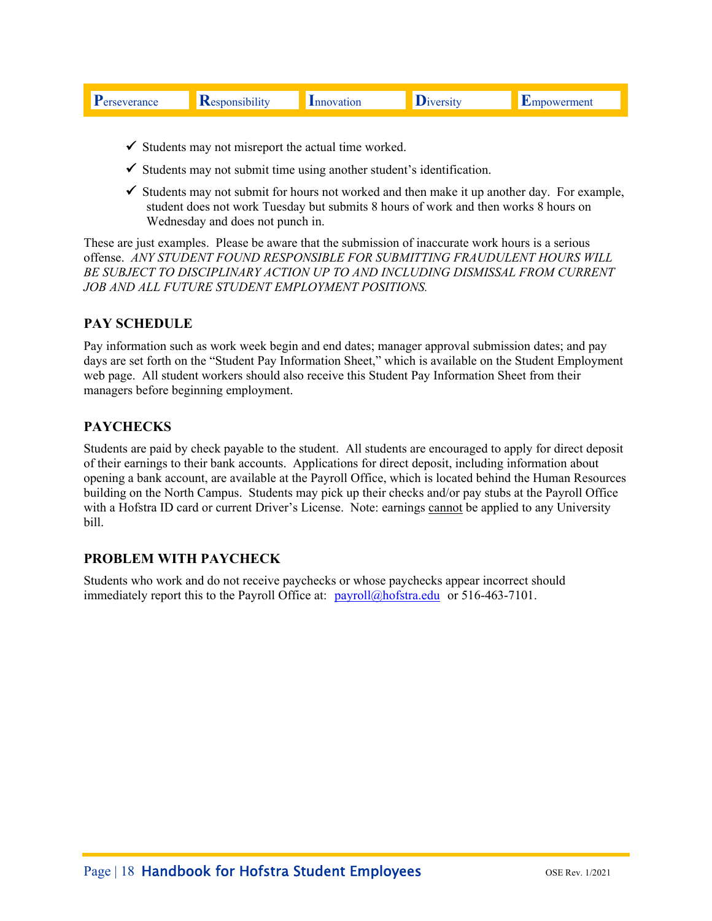| men.<br>on<br>nce |
|-------------------|
|-------------------|

- $\checkmark$  Students may not misreport the actual time worked.
- $\checkmark$  Students may not submit time using another student's identification.
- $\checkmark$  Students may not submit for hours not worked and then make it up another day. For example, student does not work Tuesday but submits 8 hours of work and then works 8 hours on Wednesday and does not punch in.

These are just examples. Please be aware that the submission of inaccurate work hours is a serious offense. *ANY STUDENT FOUND RESPONSIBLE FOR SUBMITTING FRAUDULENT HOURS WILL BE SUBJECT TO DISCIPLINARY ACTION UP TO AND INCLUDING DISMISSAL FROM CURRENT JOB AND ALL FUTURE STUDENT EMPLOYMENT POSITIONS.* 

# **PAY SCHEDULE**

Pay information such as work week begin and end dates; manager approval submission dates; and pay days are set forth on the "Student Pay Information Sheet," which is available on the Student Employment web page. All student workers should also receive this Student Pay Information Sheet from their managers before beginning employment.

# **PAYCHECKS**

Students are paid by check payable to the student. All students are encouraged to apply for direct deposit of their earnings to their bank accounts. Applications for direct deposit, including information about opening a bank account, are available at the Payroll Office, which is located behind the Human Resources building on the North Campus. Students may pick up their checks and/or pay stubs at the Payroll Office with a Hofstra ID card or current Driver's License. Note: earnings cannot be applied to any University bill.

# **PROBLEM WITH PAYCHECK**

Students who work and do not receive paychecks or whose paychecks appear incorrect should immediately report this to the Payroll Office at: payroll@hofstra.edu or 516-463-7101.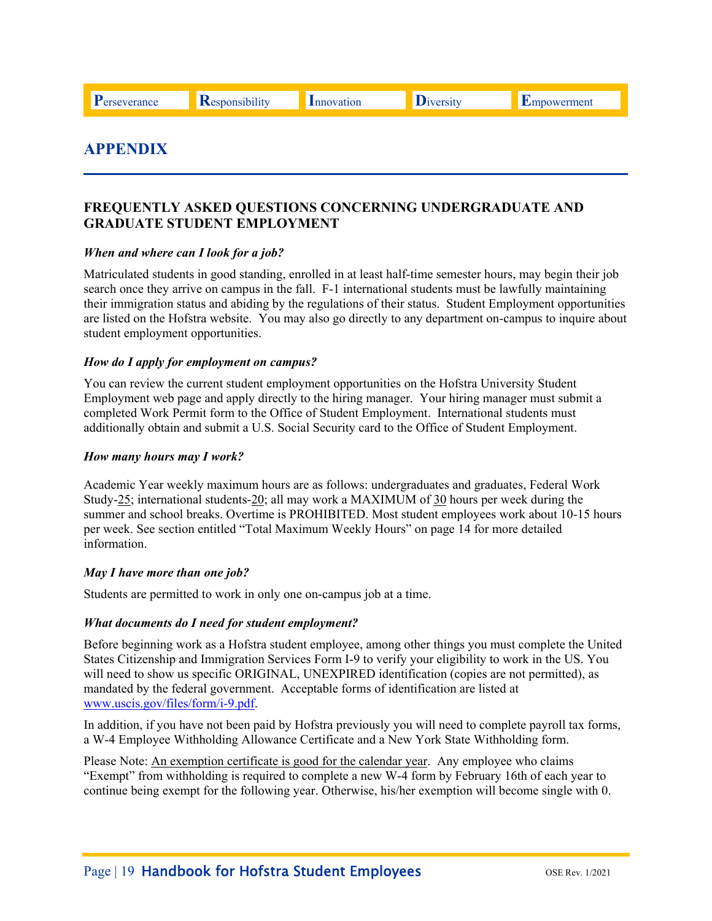**P**erseverance **R**esponsibility Innovation Diversity Empowerment

# **APPENDIX**

# **FREQUENTLY ASKED QUESTIONS CONCERNING UNDERGRADUATE AND GRADUATE STUDENT EMPLOYMENT**

#### *When and where can I look for a job?*

Matriculated students in good standing, enrolled in at least half-time semester hours, may begin their job search once they arrive on campus in the fall. F-1 international students must be lawfully maintaining their immigration status and abiding by the regulations of their status. Student Employment opportunities are listed on the Hofstra website. You may also go directly to any department on-campus to inquire about student employment opportunities.

#### *How do I apply for employment on campus?*

You can review the current student employment opportunities on the Hofstra University Student Employment web page and apply directly to the hiring manager. Your hiring manager must submit a completed Work Permit form to the Office of Student Employment. International students must additionally obtain and submit a U.S. Social Security card to the Office of Student Employment.

#### *How many hours may I work?*

Academic Year weekly maximum hours are as follows: undergraduates and graduates, Federal Work Study-25; international students-20; all may work a MAXIMUM of 30 hours per week during the summer and school breaks. Overtime is PROHIBITED. Most student employees work about 10-15 hours per week. See section entitled "Total Maximum Weekly Hours" on page 14 for more detailed information.

#### *May I have more than one job?*

Students are permitted to work in only one on-campus job at a time.

#### *What documents do I need for student employment?*

Before beginning work as a Hofstra student employee, among other things you must complete the United States Citizenship and Immigration Services Form I-9 to verify your eligibility to work in the US. You will need to show us specific ORIGINAL, UNEXPIRED identification (copies are not permitted), as mandated by the federal government. Acceptable forms of identification are listed at www.uscis.gov/files/form/i-9.pdf.

In addition, if you have not been paid by Hofstra previously you will need to complete payroll tax forms, a W-4 Employee Withholding Allowance Certificate and a New York State Withholding form.

Please Note: An exemption certificate is good for the calendar year. Any employee who claims "Exempt" from withholding is required to complete a new W-4 form by February 16th of each year to continue being exempt for the following year. Otherwise, his/her exemption will become single with 0.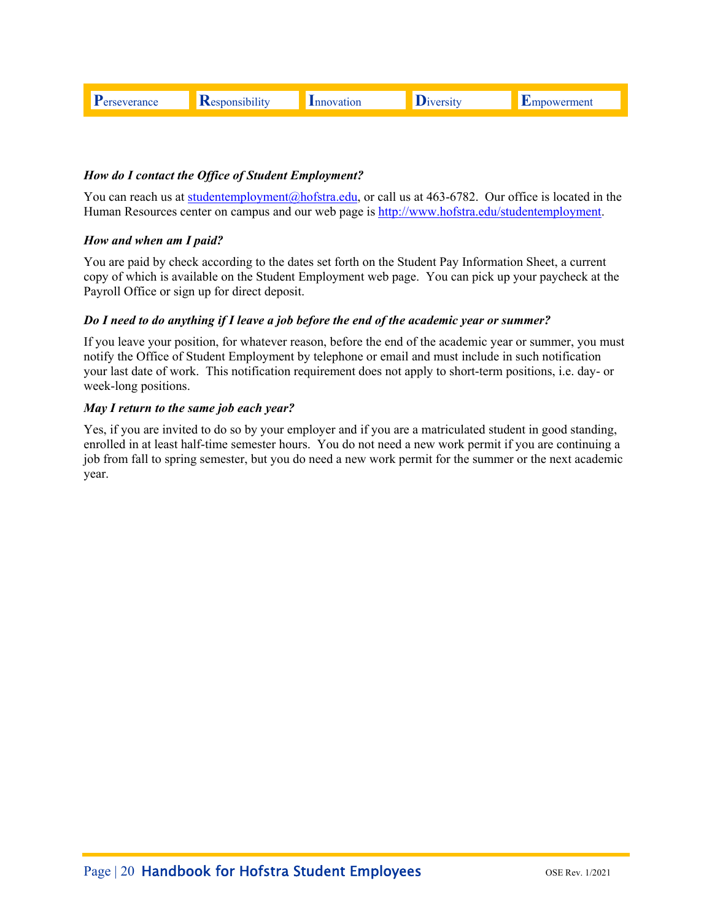| -- | 16 M | nen |
|----|------|-----|
|    |      |     |

## *How do I contact the Office of Student Employment?*

Human Resources center on campus and our web page is **http://www.hofstra.edu/studentemployment**. You can reach us at studentemployment@hofstra.edu, or call us at 463-6782. Our office is located in the

#### *How and when am I paid?*

You are paid by check according to the dates set forth on the Student Pay Information Sheet, a current copy of which is available on the Student Employment web page. You can pick up your paycheck at the Payroll Office or sign up for direct deposit.

#### *Do I need to do anything if I leave a job before the end of the academic year or summer?*

If you leave your position, for whatever reason, before the end of the academic year or summer, you must notify the Office of Student Employment by telephone or email and must include in such notification your last date of work. This notification requirement does not apply to short-term positions, i.e. day- or week-long positions.

#### *May I return to the same job each year?*

Yes, if you are invited to do so by your employer and if you are a matriculated student in good standing, enrolled in at least half-time semester hours. You do not need a new work permit if you are continuing a job from fall to spring semester, but you do need a new work permit for the summer or the next academic year.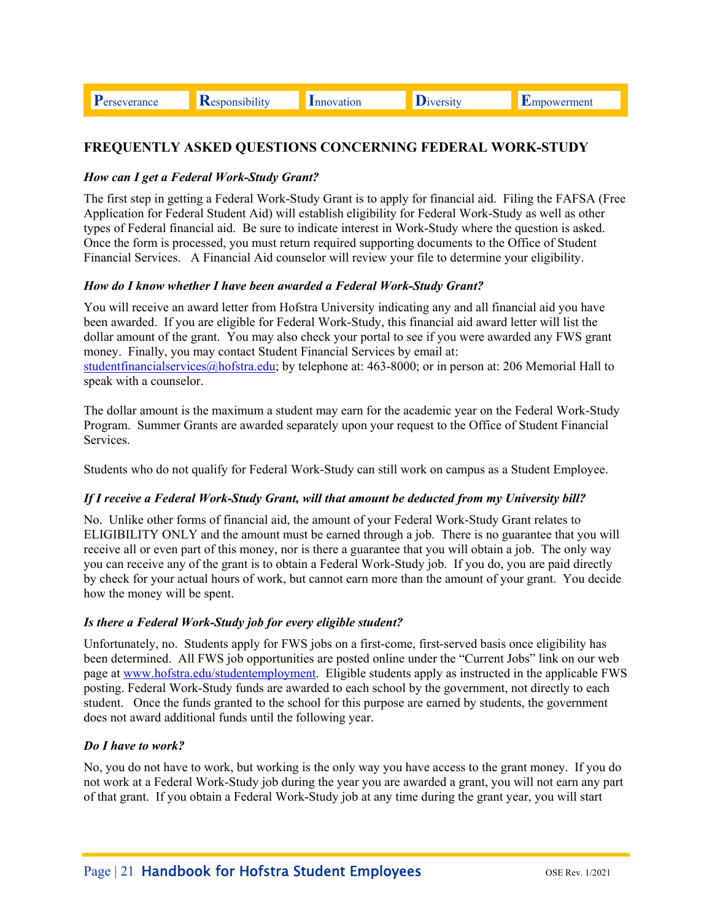Perseverance

Responsibility

**D**iversity

# FREQUENTLY ASKED QUESTIONS CONCERNING FEDERAL WORK-STUDY

## How can I get a Federal Work-Study Grant?

The first step in getting a Federal Work-Study Grant is to apply for financial aid. Filing the FAFSA (Free Application for Federal Student Aid) will establish eligibility for Federal Work-Study as well as other types of Federal financial aid. Be sure to indicate interest in Work-Study where the question is asked. Once the form is processed, you must return required supporting documents to the Office of Student Financial Services. A Financial Aid counselor will review your file to determine your eligibility.

### How do I know whether I have been awarded a Federal Work-Study Grant?

You will receive an award letter from Hofstra University indicating any and all financial aid you have been awarded. If you are eligible for Federal Work-Study, this financial aid award letter will list the dollar amount of the grant. You may also check your portal to see if you were awarded any FWS grant money. Finally, you may contact Student Financial Services by email at: studentfinancialservices $@$ hofstra.edu; by telephone at: 463-8000; or in person at: 206 Memorial Hall to speak with a counselor.

The dollar amount is the maximum a student may earn for the academic year on the Federal Work-Study Program. Summer Grants are awarded separately upon your request to the Office of Student Financial **Services** 

Students who do not qualify for Federal Work-Study can still work on campus as a Student Employee.

# If I receive a Federal Work-Study Grant, will that amount be deducted from my University bill?

No. Unlike other forms of financial aid, the amount of your Federal Work-Study Grant relates to ELIGIBILITY ONLY and the amount must be earned through a job. There is no guarantee that you will receive all or even part of this money, nor is there a guarantee that you will obtain a job. The only way you can receive any of the grant is to obtain a Federal Work-Study job. If you do, you are paid directly by check for your actual hours of work, but cannot earn more than the amount of your grant. You decide how the money will be spent.

#### Is there a Federal Work-Study job for every eligible student?

Unfortunately, no. Students apply for FWS jobs on a first-come, first-served basis once eligibility has been determined. All FWS job opportunities are posted online under the "Current Jobs" link on our web page at www.hofstra.edu/studentemployment. Eligible students apply as instructed in the applicable FWS posting. Federal Work-Study funds are awarded to each school by the government, not directly to each student. Once the funds granted to the school for this purpose are earned by students, the government does not award additional funds until the following year.

# **Do I have to work?**

No, you do not have to work, but working is the only way you have access to the grant money. If you do not work at a Federal Work-Study job during the year you are awarded a grant, you will not earn any part of that grant. If you obtain a Federal Work-Study job at any time during the grant year, you will start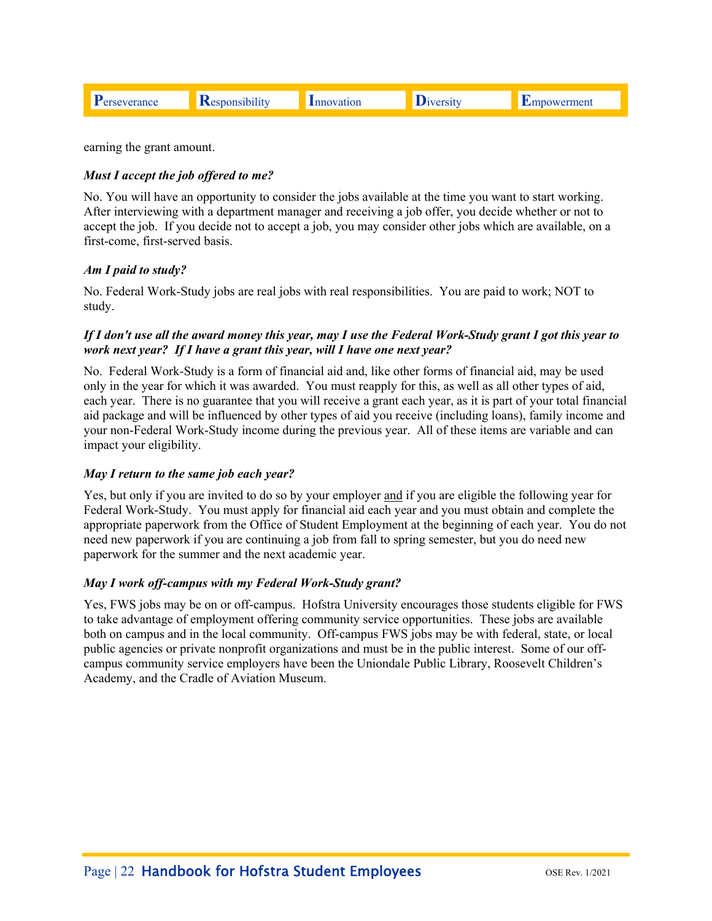|  |  |  | 10n | лэн | neni |
|--|--|--|-----|-----|------|
|--|--|--|-----|-----|------|

earning the grant amount.

### *Must I accept the job offered to me?*

No. You will have an opportunity to consider the jobs available at the time you want to start working. After interviewing with a department manager and receiving a job offer, you decide whether or not to accept the job. If you decide not to accept a job, you may consider other jobs which are available, on a first-come, first-served basis.

#### *Am I paid to study?*

 study. No. Federal Work-Study jobs are real jobs with real responsibilities. You are paid to work; NOT to

#### *If I don't use all the award money this year, may I use the Federal Work-Study grant I got this year to work next year? If I have a grant this year, will I have one next year?*

No. Federal Work-Study is a form of financial aid and, like other forms of financial aid, may be used only in the year for which it was awarded. You must reapply for this, as well as all other types of aid, each year. There is no guarantee that you will receive a grant each year, as it is part of your total financial aid package and will be influenced by other types of aid you receive (including loans), family income and your non-Federal Work-Study income during the previous year. All of these items are variable and can impact your eligibility.

#### *May I return to the same job each year?*

Yes, but only if you are invited to do so by your employer and if you are eligible the following year for Federal Work-Study. You must apply for financial aid each year and you must obtain and complete the appropriate paperwork from the Office of Student Employment at the beginning of each year. You do not need new paperwork if you are continuing a job from fall to spring semester, but you do need new paperwork for the summer and the next academic year.

#### *May I work off-campus with my Federal Work-Study grant?*

Yes, FWS jobs may be on or off-campus. Hofstra University encourages those students eligible for FWS to take advantage of employment offering community service opportunities. These jobs are available both on campus and in the local community. Off-campus FWS jobs may be with federal, state, or local public agencies or private nonprofit organizations and must be in the public interest. Some of our offcampus community service employers have been the Uniondale Public Library, Roosevelt Children's Academy, and the Cradle of Aviation Museum.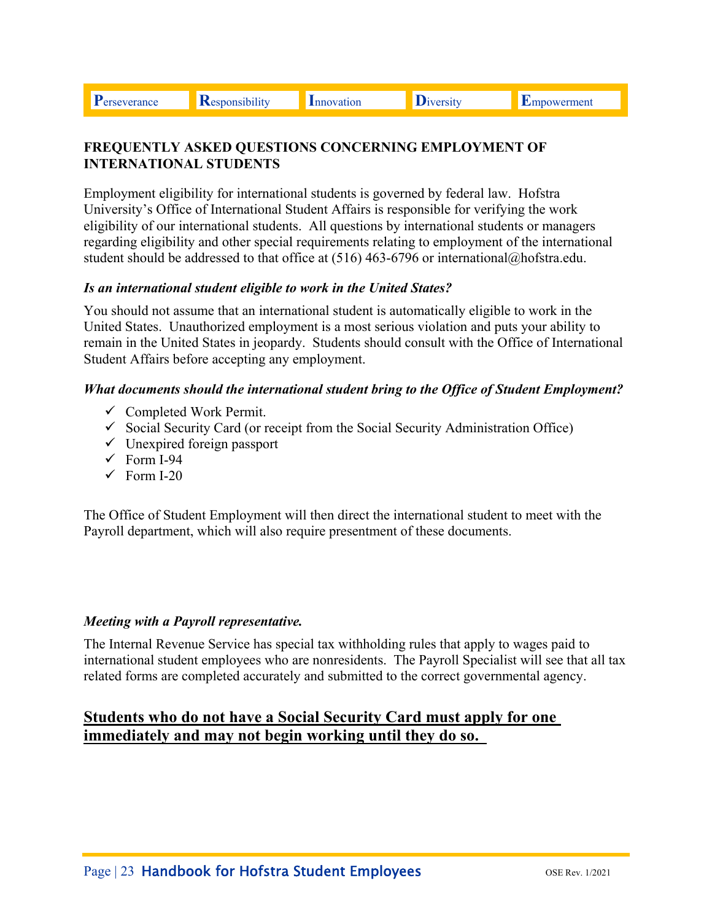**P**erseverance **R**esponsibility Innovation Diversity Empowerment

# **FREQUENTLY ASKED QUESTIONS CONCERNING EMPLOYMENT OF INTERNATIONAL STUDENTS**

Employment eligibility for international students is governed by federal law. Hofstra University's Office of International Student Affairs is responsible for verifying the work eligibility of our international students. All questions by international students or managers regarding eligibility and other special requirements relating to employment of the international student should be addressed to that office at (516) 463-6796 or international@hofstra.edu.

# *Is an international student eligible to work in the United States?*

You should not assume that an international student is automatically eligible to work in the United States. Unauthorized employment is a most serious violation and puts your ability to remain in the United States in jeopardy. Students should consult with the Office of International Student Affairs before accepting any employment.

# *What documents should the international student bring to the Office of Student Employment?*

- $\checkmark$  Completed Work Permit.
- $\checkmark$  Social Security Card (or receipt from the Social Security Administration Office)
- $\checkmark$  Unexpired foreign passport
- $\checkmark$  Form I-94
- $\checkmark$  Form I-20

The Office of Student Employment will then direct the international student to meet with the Payroll department, which will also require presentment of these documents.

# *Meeting with a Payroll representative.*

The Internal Revenue Service has special tax withholding rules that apply to wages paid to international student employees who are nonresidents. The Payroll Specialist will see that all tax related forms are completed accurately and submitted to the correct governmental agency.

# **Students who do not have a Social Security Card must apply for one immediately and may not begin working until they do so.**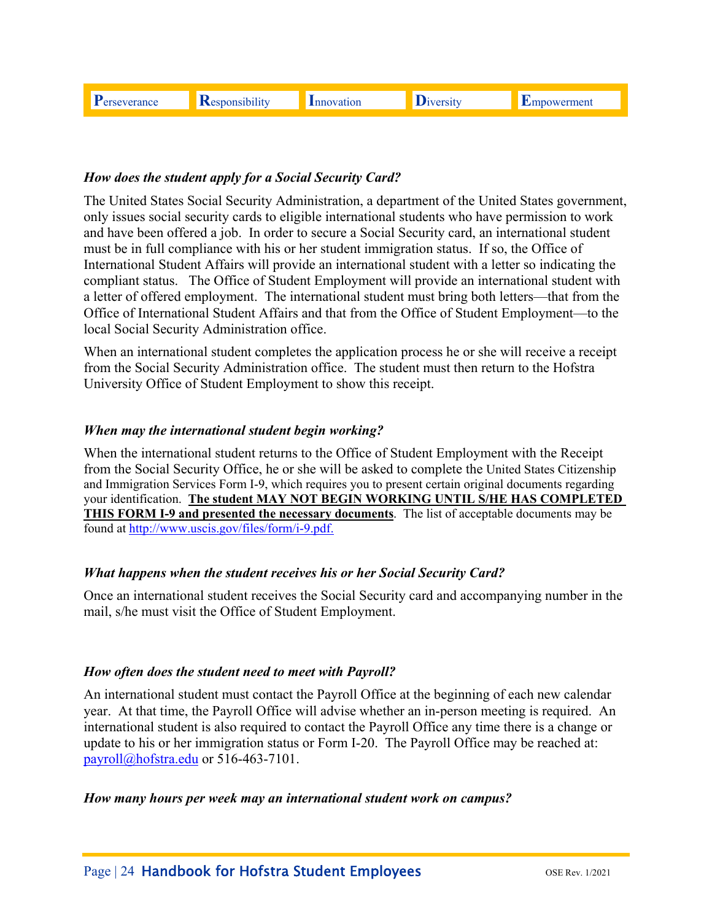# *How does the student apply for a Social Security Card?*

The United States Social Security Administration, a department of the United States government, only issues social security cards to eligible international students who have permission to work and have been offered a job. In order to secure a Social Security card, an international student must be in full compliance with his or her student immigration status. If so, the Office of International Student Affairs will provide an international student with a letter so indicating the compliant status. The Office of Student Employment will provide an international student with a letter of offered employment. The international student must bring both letters—that from the Office of International Student Affairs and that from the Office of Student Employment—to the local Social Security Administration office.

When an international student completes the application process he or she will receive a receipt from the Social Security Administration office. The student must then return to the Hofstra University Office of Student Employment to show this receipt.

### *When may the international student begin working?*

found at http://www.uscis.gov/files/form/i-9.pdf. When the international student returns to the Office of Student Employment with the Receipt from the Social Security Office, he or she will be asked to complete the United States Citizenship and Immigration Services Form I-9, which requires you to present certain original documents regarding your identification. **The student MAY NOT BEGIN WORKING UNTIL S/HE HAS COMPLETED THIS FORM I-9 and presented the necessary documents**. The list of acceptable documents may be

# *What happens when the student receives his or her Social Security Card?*

Once an international student receives the Social Security card and accompanying number in the mail, s/he must visit the Office of Student Employment.

#### *How often does the student need to meet with Payroll?*

An international student must contact the Payroll Office at the beginning of each new calendar year. At that time, the Payroll Office will advise whether an in-person meeting is required. An international student is also required to contact the Payroll Office any time there is a change or update to his or her immigration status or Form I-20. The Payroll Office may be reached at: payroll@hofstra.edu or 516-463-7101.

#### *How many hours per week may an international student work on campus?*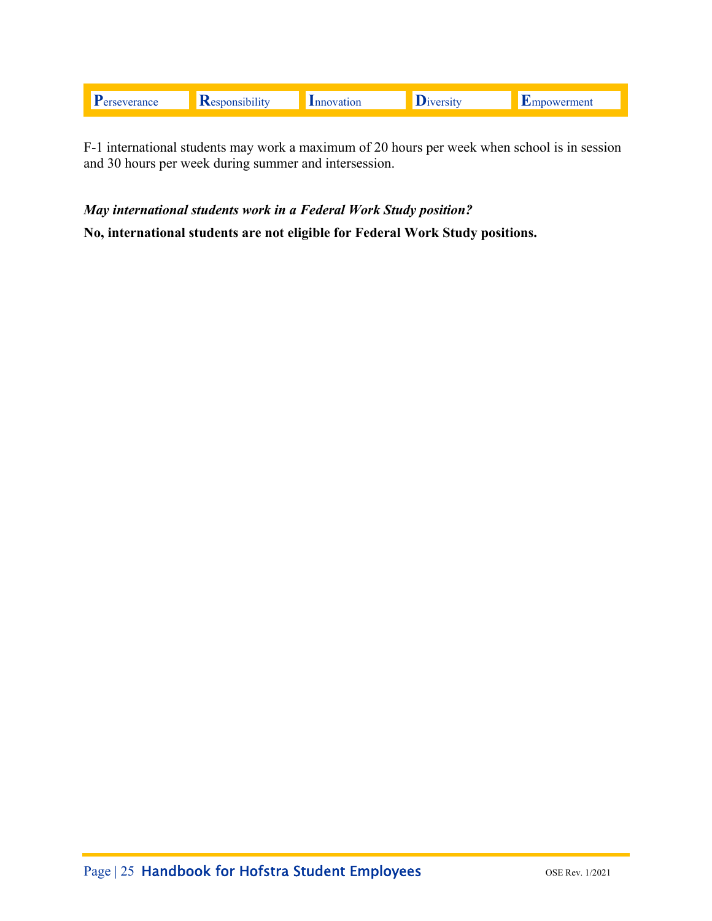F-1 international students may work a maximum of 20 hours per week when school is in session and 30 hours per week during summer and intersession.

May international students work in a Federal Work Study position?

No, international students are not eligible for Federal Work Study positions.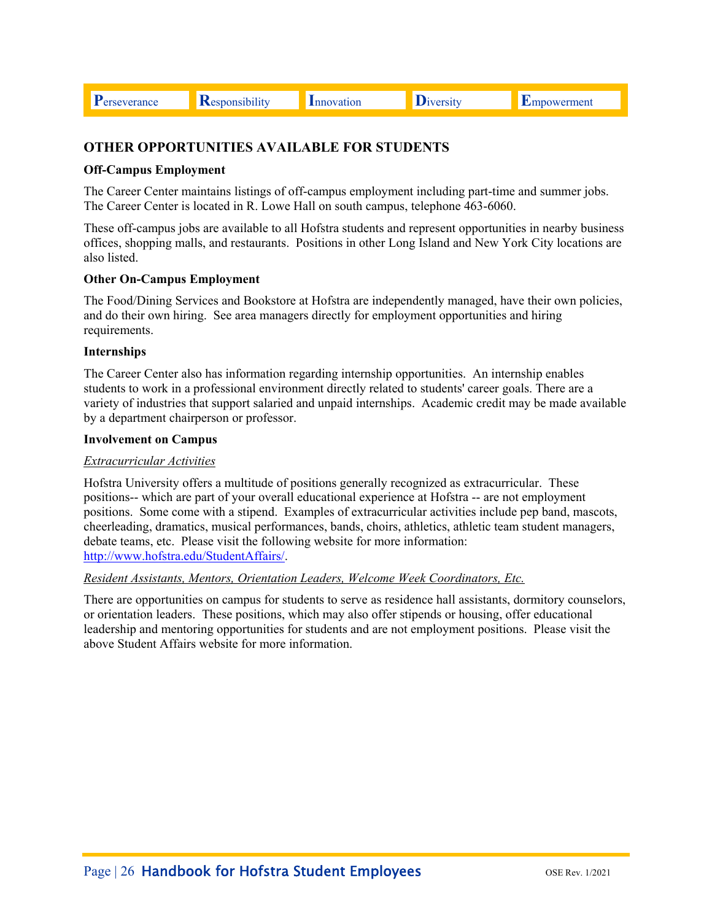**P**erseverance **R**esponsibility Innovation Diversity Empowerment

# **OTHER OPPORTUNITIES AVAILABLE FOR STUDENTS**

#### **Off-Campus Employment**

The Career Center maintains listings of off-campus employment including part-time and summer jobs. The Career Center is located in R. Lowe Hall on south campus, telephone 463-6060.

These off-campus jobs are available to all Hofstra students and represent opportunities in nearby business offices, shopping malls, and restaurants. Positions in other Long Island and New York City locations are also listed.

#### **Other On-Campus Employment**

The Food/Dining Services and Bookstore at Hofstra are independently managed, have their own policies, and do their own hiring. See area managers directly for employment opportunities and hiring requirements.

#### **Internships**

The Career Center also has information regarding internship opportunities. An internship enables students to work in a professional environment directly related to students' career goals. There are a variety of industries that support salaried and unpaid internships. Academic credit may be made available by a department chairperson or professor.

#### **Involvement on Campus**

#### *Extracurricular Activities*

Hofstra University offers a multitude of positions generally recognized as extracurricular. These positions-- which are part of your overall educational experience at Hofstra -- are not employment positions. Some come with a stipend. Examples of extracurricular activities include pep band, mascots, cheerleading, dramatics, musical performances, bands, choirs, athletics, athletic team student managers, debate teams, etc. Please visit the following website for more information: http://www.hofstra.edu/StudentAffairs/.

#### *Resident Assistants, Mentors, Orientation Leaders, Welcome Week Coordinators, Etc.*

There are opportunities on campus for students to serve as residence hall assistants, dormitory counselors, or orientation leaders. These positions, which may also offer stipends or housing, offer educational leadership and mentoring opportunities for students and are not employment positions. Please visit the above Student Affairs website for more information.